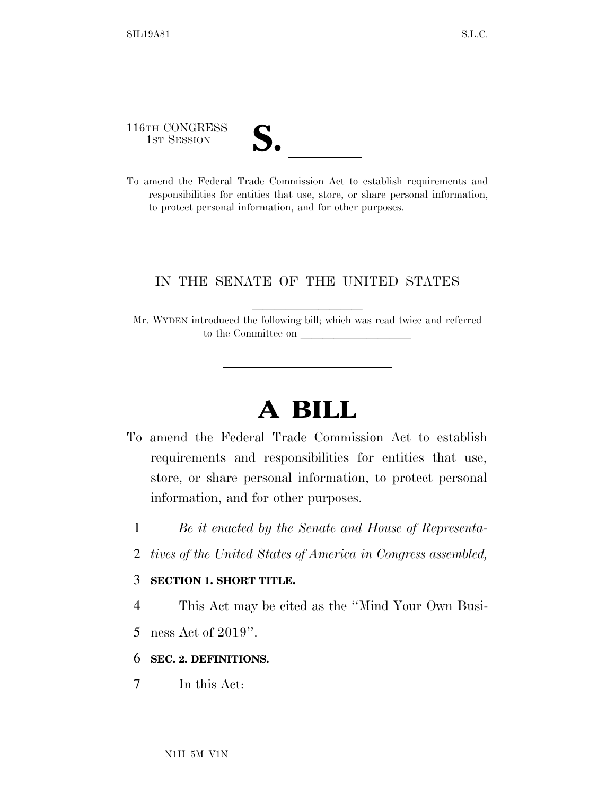116TH CONGRESS

| $\mathbf{\boldsymbol{\omega}}\bullet$ |  |
|---------------------------------------|--|
|                                       |  |

116TH CONGRESS<br>
1ST SESSION<br>
To amend the Federal Trade Commission Act to establish requirements and responsibilities for entities that use, store, or share personal information, to protect personal information, and for other purposes.

### IN THE SENATE OF THE UNITED STATES

Mr. WYDEN introduced the following bill; which was read twice and referred to the Committee on

# **A BILL**

- To amend the Federal Trade Commission Act to establish requirements and responsibilities for entities that use, store, or share personal information, to protect personal information, and for other purposes.
	- 1 *Be it enacted by the Senate and House of Representa-*
	- 2 *tives of the United States of America in Congress assembled,*

#### 3 **SECTION 1. SHORT TITLE.**

- 4 This Act may be cited as the ''Mind Your Own Busi-
- 5 ness Act of 2019''.

#### 6 **SEC. 2. DEFINITIONS.**

7 In this Act: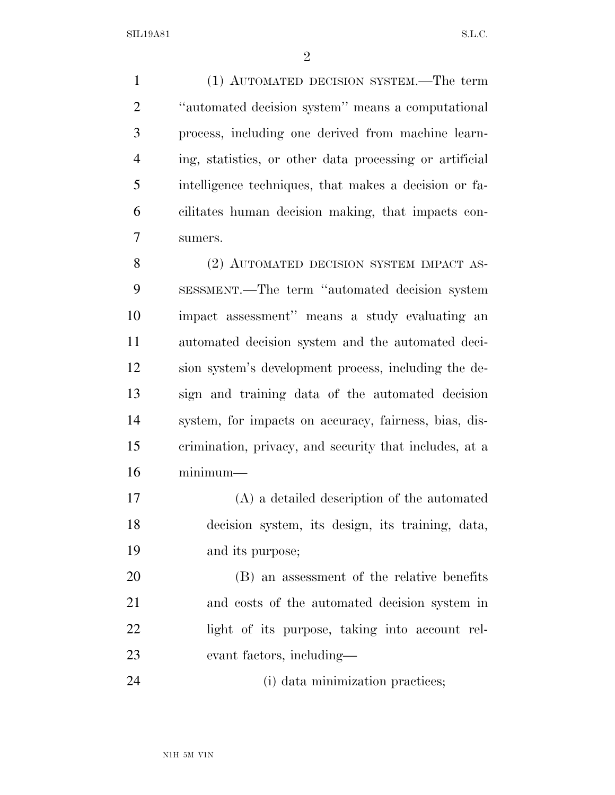(1) AUTOMATED DECISION SYSTEM.—The term ''automated decision system'' means a computational process, including one derived from machine learn- ing, statistics, or other data processing or artificial intelligence techniques, that makes a decision or fa- cilitates human decision making, that impacts con-sumers.

8 (2) AUTOMATED DECISION SYSTEM IMPACT AS- SESSMENT.—The term ''automated decision system impact assessment'' means a study evaluating an automated decision system and the automated deci- sion system's development process, including the de- sign and training data of the automated decision system, for impacts on accuracy, fairness, bias, dis- crimination, privacy, and security that includes, at a minimum—

 (A) a detailed description of the automated decision system, its design, its training, data, and its purpose;

 (B) an assessment of the relative benefits and costs of the automated decision system in light of its purpose, taking into account rel-evant factors, including—

24 (i) data minimization practices;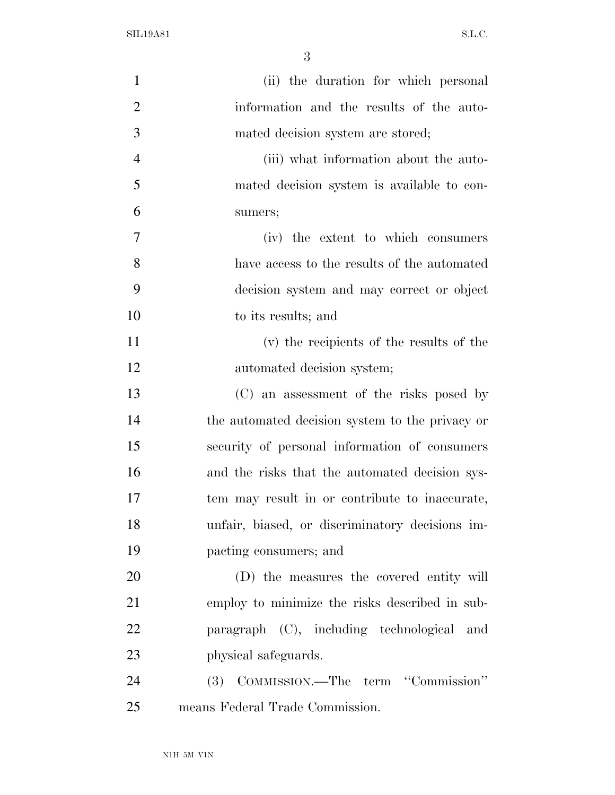| $\mathbf{1}$   | (ii) the duration for which personal            |
|----------------|-------------------------------------------------|
| $\overline{2}$ | information and the results of the auto-        |
| 3              | mated decision system are stored;               |
| $\overline{4}$ | (iii) what information about the auto-          |
| 5              | mated decision system is available to con-      |
| 6              | sumers;                                         |
| $\tau$         | (iv) the extent to which consumers              |
| 8              | have access to the results of the automated     |
| 9              | decision system and may correct or object       |
| 10             | to its results; and                             |
| 11             | (v) the recipients of the results of the        |
| 12             | automated decision system;                      |
| 13             | (C) an assessment of the risks posed by         |
| 14             | the automated decision system to the privacy or |
| 15             | security of personal information of consumers   |
| 16             | and the risks that the automated decision sys-  |
| 17             | tem may result in or contribute to inaccurate,  |
| 18             | unfair, biased, or discriminatory decisions im- |
| 19             | pacting consumers; and                          |
| 20             | (D) the measures the covered entity will        |
| 21             | employ to minimize the risks described in sub-  |
| 22             | paragraph (C), including technological and      |
| 23             | physical safeguards.                            |
| 24             | (3) COMMISSION.—The term "Commission"           |
| 25             | means Federal Trade Commission.                 |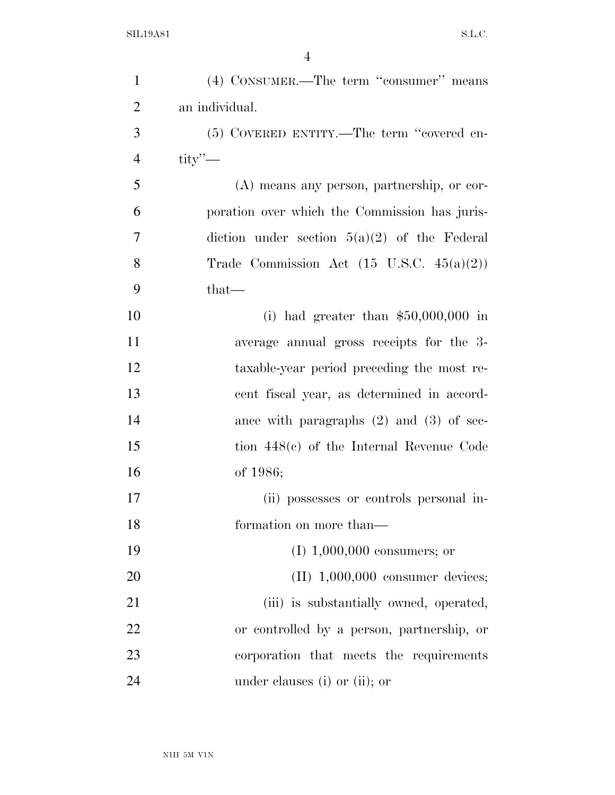| $\mathbf{1}$   | (4) CONSUMER.—The term "consumer" means              |
|----------------|------------------------------------------------------|
| $\overline{2}$ | an individual.                                       |
| 3              | (5) COVERED ENTITY.—The term "covered en-            |
| $\overline{4}$ | $\text{tity}$ "                                      |
| 5              | $(A)$ means any person, partnership, or cor-         |
| 6              | poration over which the Commission has juris-        |
| 7              | diction under section $5(a)(2)$ of the Federal       |
| 8              | Trade Commission Act $(15 \text{ U.S.C. } 45(a)(2))$ |
| 9              | $that-$                                              |
| 10             | (i) had greater than $$50,000,000$ in                |
| 11             | average annual gross receipts for the 3-             |
| 12             | taxable-year period preceding the most re-           |
| 13             | cent fiscal year, as determined in accord-           |
| 14             | ance with paragraphs $(2)$ and $(3)$ of sec-         |
| 15             | tion $448(c)$ of the Internal Revenue Code           |
| 16             | of 1986;                                             |
| 17             | (ii) possesses or controls personal in-              |
| 18             | formation on more than—                              |
| 19             | $(I)$ 1,000,000 consumers; or                        |
| 20             | $(II)$ 1,000,000 consumer devices;                   |
| 21             | (iii) is substantially owned, operated,              |
| 22             | or controlled by a person, partnership, or           |
| 23             | corporation that meets the requirements              |
| 24             | under clauses (i) or (ii); or                        |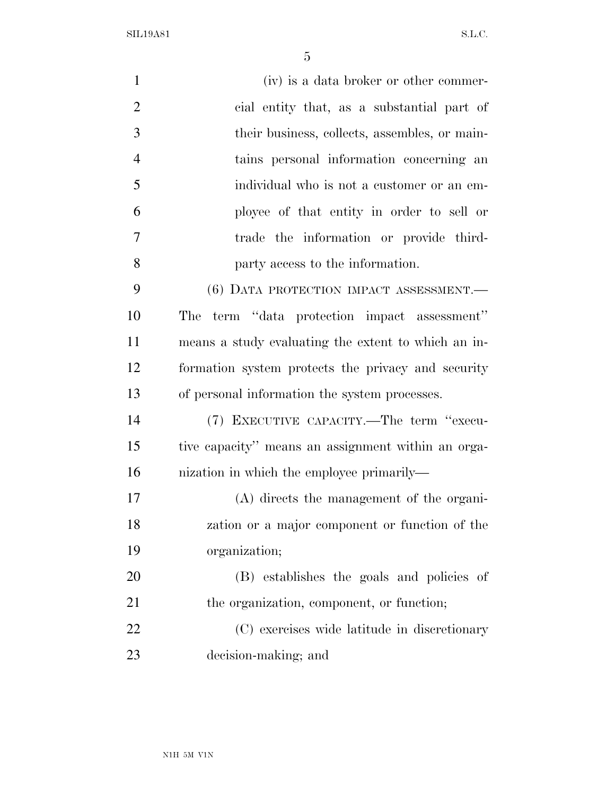| $\mathbf{1}$   | (iv) is a data broker or other commer-              |
|----------------|-----------------------------------------------------|
| $\overline{2}$ | cial entity that, as a substantial part of          |
| 3              | their business, collects, assembles, or main-       |
| $\overline{4}$ | tains personal information concerning an            |
| 5              | individual who is not a customer or an em-          |
| 6              | ployee of that entity in order to sell or           |
| 7              | trade the information or provide third-             |
| 8              | party access to the information.                    |
| 9              | (6) DATA PROTECTION IMPACT ASSESSMENT.-             |
| 10             | term "data protection impact assessment"<br>The     |
| 11             | means a study evaluating the extent to which an in- |
| 12             | formation system protects the privacy and security  |
| 13             | of personal information the system processes.       |
| 14             | (7) EXECUTIVE CAPACITY.—The term "execu-            |
| 15             | tive capacity" means an assignment within an orga-  |
| 16             | nization in which the employee primarily—           |
| 17             | $(A)$ directs the management of the organi-         |
| 18             | zation or a major component or function of the      |
| 19             | organization;                                       |
| 20             | (B) establishes the goals and policies of           |
| 21             | the organization, component, or function;           |
| 22             | (C) exercises wide latitude in discretionary        |
| 23             | decision-making; and                                |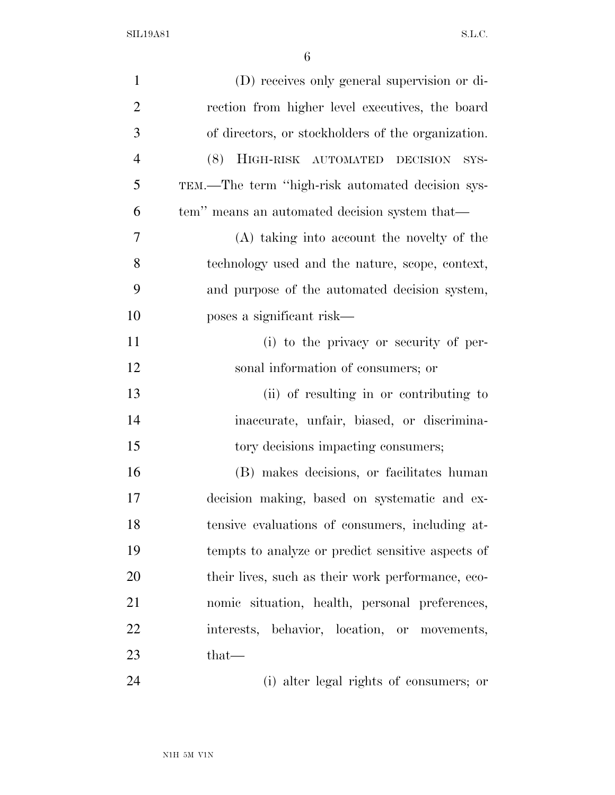| $\mathbf{1}$   | (D) receives only general supervision or di-       |
|----------------|----------------------------------------------------|
| $\overline{2}$ | rection from higher level executives, the board    |
| 3              | of directors, or stockholders of the organization. |
| $\overline{4}$ | HIGH-RISK AUTOMATED DECISION<br>(8)<br>SYS-        |
| 5              | TEM.—The term "high-risk automated decision sys-   |
| 6              | tem" means an automated decision system that—      |
| 7              | (A) taking into account the novelty of the         |
| 8              | technology used and the nature, scope, context,    |
| 9              | and purpose of the automated decision system,      |
| 10             | poses a significant risk—                          |
| 11             | (i) to the privacy or security of per-             |
| 12             | sonal information of consumers; or                 |
| 13             | (ii) of resulting in or contributing to            |
| 14             | inaccurate, unfair, biased, or discrimina-         |
| 15             | tory decisions impacting consumers;                |
| 16             | (B) makes decisions, or facilitates human          |
| 17             | decision making, based on systematic and ex-       |
| 18             | tensive evaluations of consumers, including at-    |
| 19             | tempts to analyze or predict sensitive aspects of  |
| 20             | their lives, such as their work performance, eco-  |
| 21             | nomic situation, health, personal preferences,     |
| 22             | interests, behavior, location, or movements,       |
| 23             | that—                                              |
| 24             | (i) alter legal rights of consumers; or            |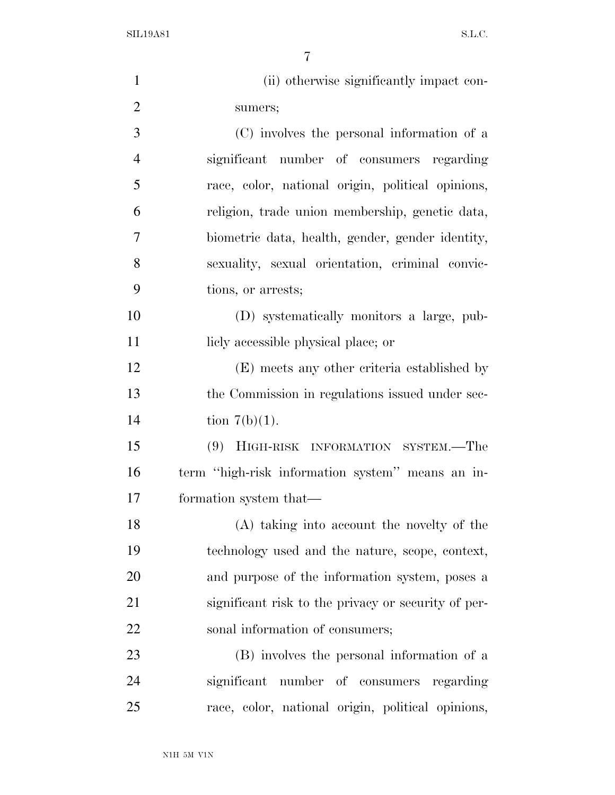| $\mathbf{1}$   | (ii) otherwise significantly impact con-            |
|----------------|-----------------------------------------------------|
| $\overline{2}$ | sumers;                                             |
| 3              | (C) involves the personal information of a          |
| $\overline{4}$ | significant number of consumers regarding           |
| 5              | race, color, national origin, political opinions,   |
| 6              | religion, trade union membership, genetic data,     |
| $\overline{7}$ | biometric data, health, gender, gender identity,    |
| 8              | sexuality, sexual orientation, criminal convic-     |
| 9              | tions, or arrests;                                  |
| 10             | (D) systematically monitors a large, pub-           |
| 11             | liely accessible physical place; or                 |
| 12             | (E) meets any other criteria established by         |
| 13             | the Commission in regulations issued under sec-     |
| 14             | tion $7(b)(1)$ .                                    |
| 15             | (9)<br>HIGH-RISK INFORMATION SYSTEM.—The            |
| 16             | term "high-risk information system" means an in-    |
| 17             | formation system that—                              |
| 18             | (A) taking into account the novelty of the          |
| 19             | technology used and the nature, scope, context,     |
| 20             | and purpose of the information system, poses a      |
| 21             | significant risk to the privacy or security of per- |
| 22             | sonal information of consumers;                     |
| 23             | (B) involves the personal information of a          |
| 24             | significant number of consumers regarding           |
| 25             | race, color, national origin, political opinions,   |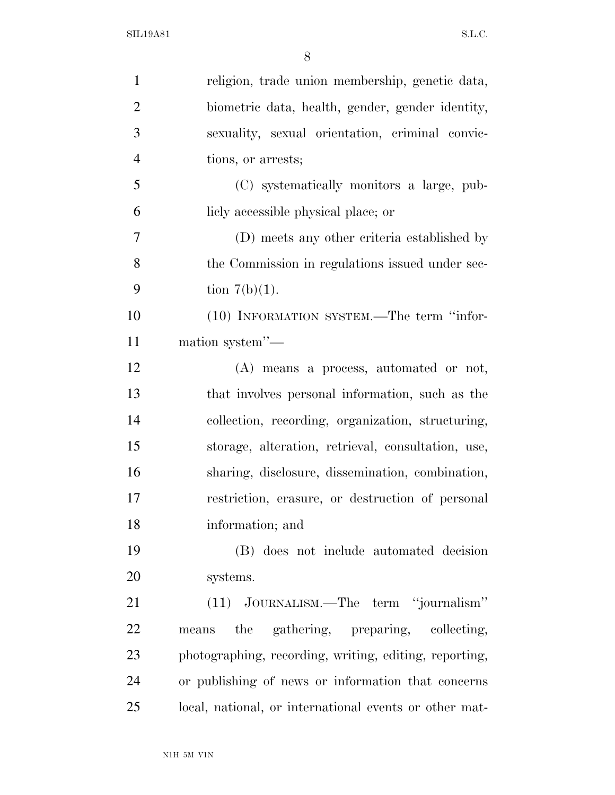| $\mathbf{1}$   | religion, trade union membership, genetic data,        |
|----------------|--------------------------------------------------------|
| $\overline{2}$ | biometric data, health, gender, gender identity,       |
| 3              | sexuality, sexual orientation, criminal convic-        |
| $\overline{4}$ | tions, or arrests;                                     |
| 5              | (C) systematically monitors a large, pub-              |
| 6              | licly accessible physical place; or                    |
| 7              | (D) meets any other criteria established by            |
| 8              | the Commission in regulations issued under sec-        |
| 9              | tion $7(b)(1)$ .                                       |
| 10             | (10) INFORMATION SYSTEM.—The term "infor-              |
| 11             | mation system"-                                        |
| 12             | (A) means a process, automated or not,                 |
| 13             | that involves personal information, such as the        |
| 14             | collection, recording, organization, structuring,      |
| 15             | storage, alteration, retrieval, consultation, use,     |
| 16             | sharing, disclosure, dissemination, combination,       |
| 17             | restriction, erasure, or destruction of personal       |
| 18             | information; and                                       |
| 19             | (B) does not include automated decision                |
| <b>20</b>      | systems.                                               |
| 21             | (11) JOURNALISM.—The term "journalism"                 |
| 22             | the gathering, preparing, collecting,<br>means         |
| 23             | photographing, recording, writing, editing, reporting, |
| 24             | or publishing of news or information that concerns     |
| 25             | local, national, or international events or other mat- |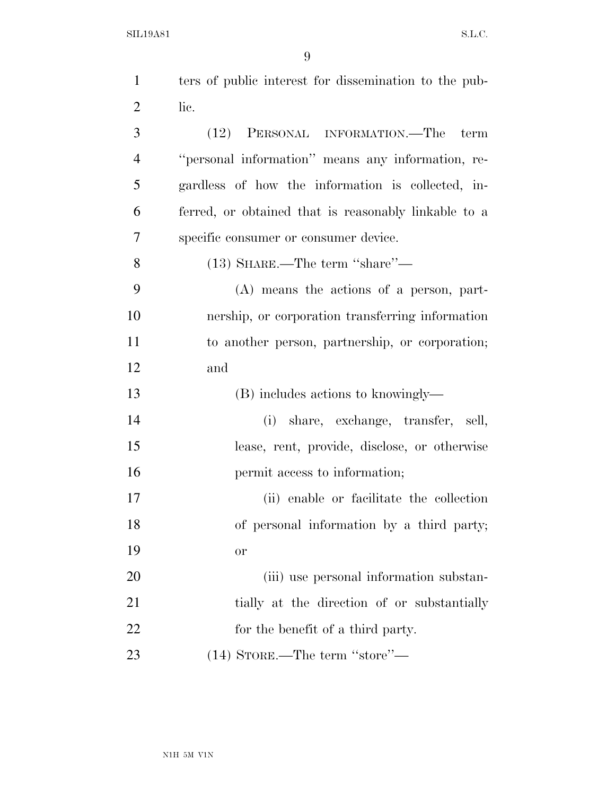| $\mathbf{1}$   | ters of public interest for dissemination to the pub- |
|----------------|-------------------------------------------------------|
| $\overline{2}$ | lic.                                                  |
| 3              | (12) PERSONAL INFORMATION.—The<br>term                |
| $\overline{4}$ | "personal information" means any information, re-     |
| 5              | gardless of how the information is collected, in-     |
| 6              | ferred, or obtained that is reasonably linkable to a  |
| 7              | specific consumer or consumer device.                 |
| 8              | $(13)$ SHARE.—The term "share"—                       |
| 9              | $(A)$ means the actions of a person, part-            |
| 10             | nership, or corporation transferring information      |
| 11             | to another person, partnership, or corporation;       |
| 12             | and                                                   |
| 13             | (B) includes actions to knowingly—                    |
| 14             | (i) share, exchange, transfer, sell,                  |
| 15             | lease, rent, provide, disclose, or otherwise          |
| 16             | permit access to information;                         |
| 17             | (ii) enable or facilitate the collection              |
| 18             | of personal information by a third party;             |
| 19             | or                                                    |
| 20             | (iii) use personal information substan-               |
| 21             | tially at the direction of or substantially           |
| 22             | for the benefit of a third party.                     |
| 23             | $(14)$ STORE.—The term ''store''—                     |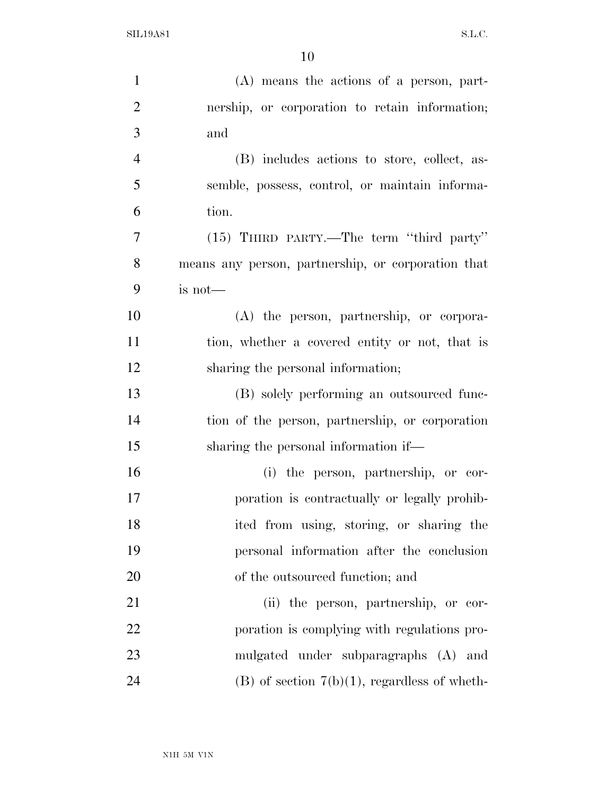| $\mathbf{1}$   | $(A)$ means the actions of a person, part-         |
|----------------|----------------------------------------------------|
| $\overline{2}$ | nership, or corporation to retain information;     |
| 3              | and                                                |
| $\overline{4}$ | (B) includes actions to store, collect, as-        |
| 5              | semble, possess, control, or maintain informa-     |
| 6              | tion.                                              |
| 7              | $(15)$ THIRD PARTY.—The term "third party"         |
| 8              | means any person, partnership, or corporation that |
| 9              | is not-                                            |
| 10             | (A) the person, partnership, or corpora-           |
| 11             | tion, whether a covered entity or not, that is     |
| 12             | sharing the personal information;                  |
| 13             | (B) solely performing an outsourced func-          |
| 14             | tion of the person, partnership, or corporation    |
| 15             | sharing the personal information if—               |
| 16             | (i) the person, partnership, or cor-               |
| 17             | poration is contractually or legally prohib-       |
| 18             | ited from using, storing, or sharing the           |
| 19             | personal information after the conclusion          |
| 20             | of the outsourced function; and                    |
| 21             | (ii) the person, partnership, or cor-              |
| 22             | poration is complying with regulations pro-        |
| 23             | mulgated under subparagraphs (A) and               |
| 24             | $(B)$ of section $7(b)(1)$ , regardless of wheth-  |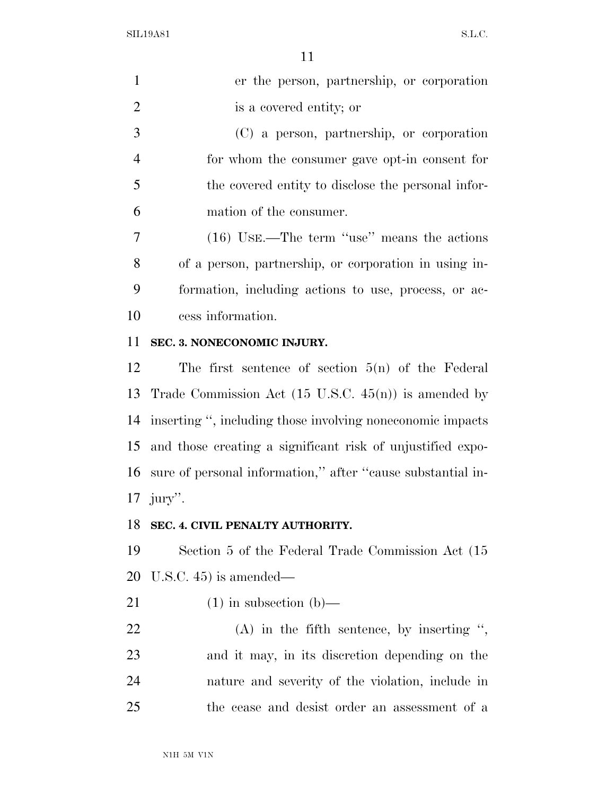| $\mathbf{1}$   | er the person, partnership, or corporation            |
|----------------|-------------------------------------------------------|
| 2              | is a covered entity; or                               |
| 3              | (C) a person, partnership, or corporation             |
| $\overline{4}$ | for whom the consumer gave opt-in consent for         |
| 5              | the covered entity to disclose the personal infor-    |
| 6              | mation of the consumer.                               |
| 7              | $(16)$ USE.—The term "use" means the actions          |
| 8              | of a person, partnership, or corporation in using in- |
| 9              | formation, including actions to use, process, or ac-  |
|                |                                                       |

cess information.

#### **SEC. 3. NONECONOMIC INJURY.**

 The first sentence of section 5(n) of the Federal Trade Commission Act (15 U.S.C. 45(n)) is amended by inserting '', including those involving noneconomic impacts and those creating a significant risk of unjustified expo- sure of personal information,'' after ''cause substantial in-jury''.

#### **SEC. 4. CIVIL PENALTY AUTHORITY.**

 Section 5 of the Federal Trade Commission Act (15 U.S.C. 45) is amended—

21 (1) in subsection  $(b)$ —

 (A) in the fifth sentence, by inserting '', and it may, in its discretion depending on the nature and severity of the violation, include in the cease and desist order an assessment of a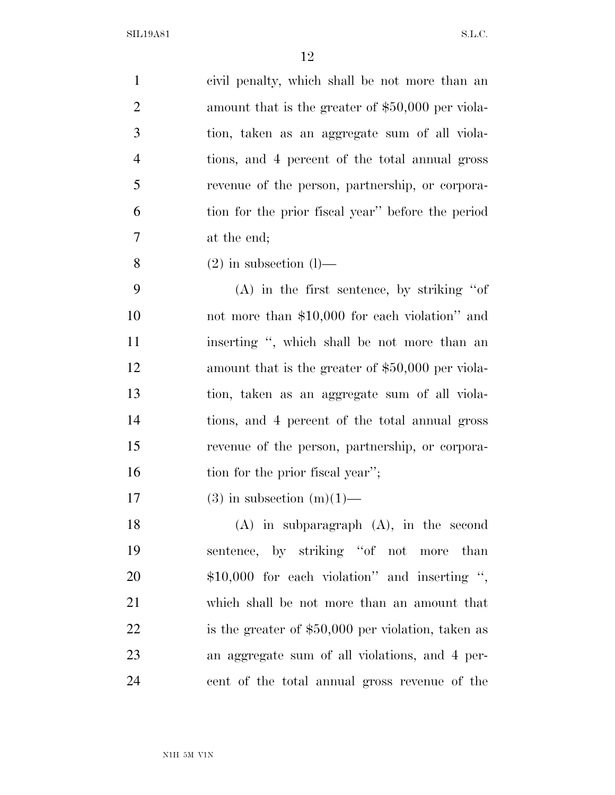civil penalty, which shall be not more than an amount that is the greater of \$50,000 per viola- tion, taken as an aggregate sum of all viola- tions, and 4 percent of the total annual gross revenue of the person, partnership, or corpora- tion for the prior fiscal year'' before the period at the end;

8 (2) in subsection  $(l)$ —

 (A) in the first sentence, by striking ''of not more than \$10,000 for each violation'' and 11 inserting ", which shall be not more than an 12 amount that is the greater of \$50,000 per viola- tion, taken as an aggregate sum of all viola- tions, and 4 percent of the total annual gross revenue of the person, partnership, or corpora-16 tion for the prior fiscal year'';

17 (3) in subsection  $(m)(1)$ —

 (A) in subparagraph (A), in the second sentence, by striking ''of not more than \$10,000 for each violation'' and inserting '', which shall be not more than an amount that 22 is the greater of \$50,000 per violation, taken as an aggregate sum of all violations, and 4 per-cent of the total annual gross revenue of the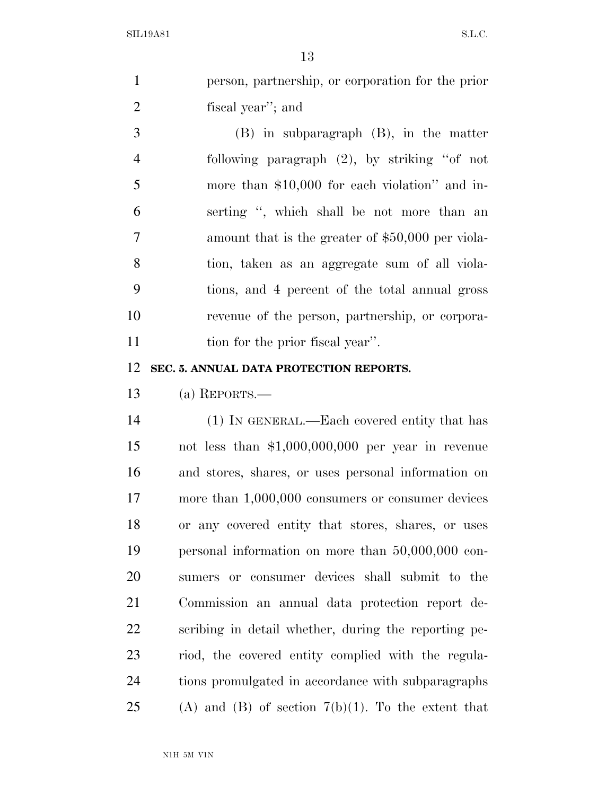|                | Τą                                                    |
|----------------|-------------------------------------------------------|
| $\mathbf{1}$   | person, partnership, or corporation for the prior     |
| $\overline{2}$ | fiscal year"; and                                     |
| 3              | (B) in subparagraph (B), in the matter                |
| $\overline{4}$ | following paragraph $(2)$ , by striking "of not       |
| 5              | more than \$10,000 for each violation" and in-        |
| 6              | serting ", which shall be not more than an            |
| 7              | amount that is the greater of \$50,000 per viola-     |
| 8              | tion, taken as an aggregate sum of all viola-         |
| 9              | tions, and 4 percent of the total annual gross        |
| 10             | revenue of the person, partnership, or corpora-       |
| 11             | tion for the prior fiscal year".                      |
| 12             | SEC. 5. ANNUAL DATA PROTECTION REPORTS.               |
| 13             | (a) REPORTS.—                                         |
| 14             | (1) IN GENERAL.—Each covered entity that has          |
| 15             | not less than $$1,000,000,000$ per year in revenue    |
| 16             | and stores, shares, or uses personal information on   |
| 17             | more than 1,000,000 consumers or consumer devices     |
| 18             | or any covered entity that stores, shares, or uses    |
| 19             | personal information on more than $50,000,000$ con-   |
| 20             | sumers or consumer devices shall submit to the        |
| 21             | Commission an annual data protection report de-       |
| 22             | scribing in detail whether, during the reporting pe-  |
| 23             | riod, the covered entity complied with the regula-    |
| 24             | tions promulgated in accordance with subparagraphs    |
| 25             | (A) and (B) of section $7(b)(1)$ . To the extent that |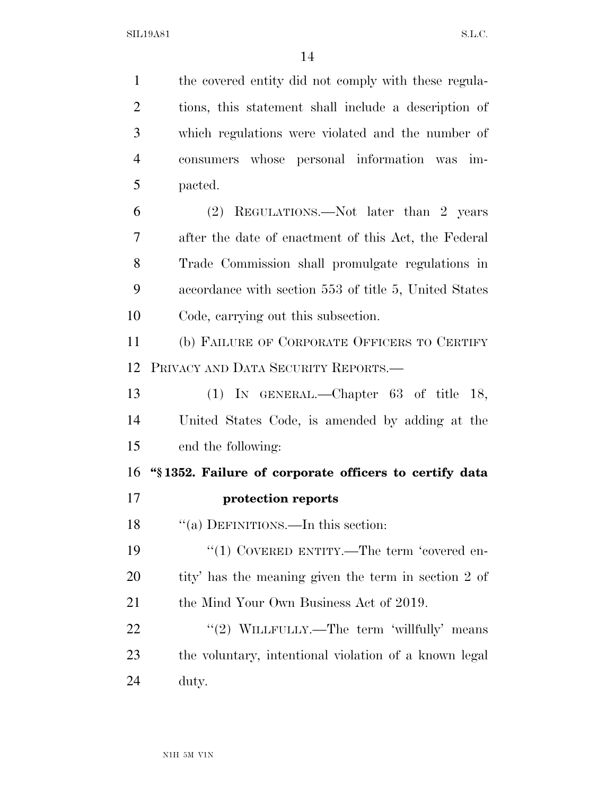the covered entity did not comply with these regula- tions, this statement shall include a description of which regulations were violated and the number of consumers whose personal information was im- pacted. (2) REGULATIONS.—Not later than 2 years after the date of enactment of this Act, the Federal Trade Commission shall promulgate regulations in accordance with section 553 of title 5, United States Code, carrying out this subsection. (b) FAILURE OF CORPORATE OFFICERS TO CERTIFY PRIVACY AND DATA SECURITY REPORTS.— (1) IN GENERAL.—Chapter 63 of title 18, United States Code, is amended by adding at the end the following: **''§ 1352. Failure of corporate officers to certify data protection reports**  18 "(a) DEFINITIONS.—In this section:  $\frac{1}{2}$  (1) COVERED ENTITY.—The term 'covered en- tity' has the meaning given the term in section 2 of 21 the Mind Your Own Business Act of 2019. 22 "'(2) WILLFULLY.—The term 'willfully' means the voluntary, intentional violation of a known legal duty.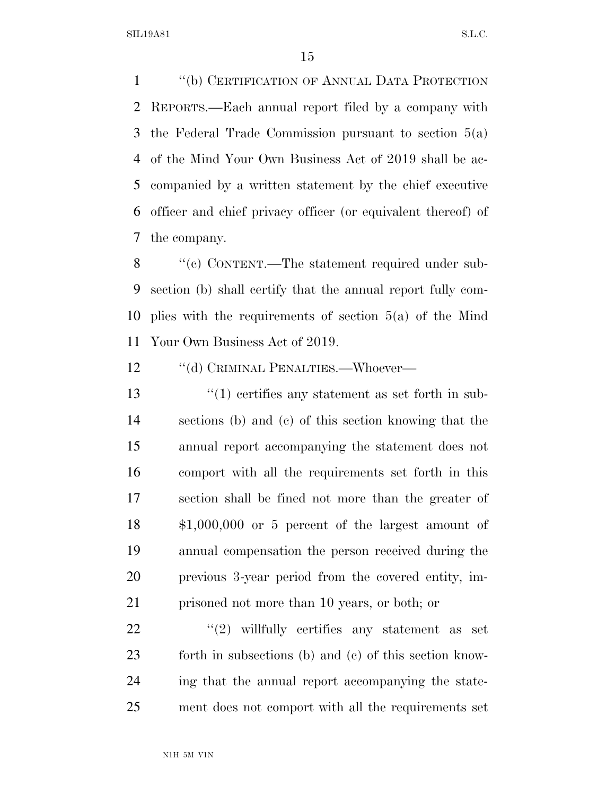''(b) CERTIFICATION OF ANNUAL DATA PROTECTION REPORTS.—Each annual report filed by a company with the Federal Trade Commission pursuant to section 5(a) of the Mind Your Own Business Act of 2019 shall be ac- companied by a written statement by the chief executive officer and chief privacy officer (or equivalent thereof) of the company.

 ''(c) CONTENT.—The statement required under sub- section (b) shall certify that the annual report fully com- plies with the requirements of section 5(a) of the Mind Your Own Business Act of 2019.

12 "(d) CRIMINAL PENALTIES.—Whoever—

 ''(1) certifies any statement as set forth in sub- sections (b) and (c) of this section knowing that the annual report accompanying the statement does not comport with all the requirements set forth in this section shall be fined not more than the greater of \$1,000,000 or 5 percent of the largest amount of annual compensation the person received during the previous 3-year period from the covered entity, im-prisoned not more than 10 years, or both; or

 ''(2) willfully certifies any statement as set forth in subsections (b) and (c) of this section know- ing that the annual report accompanying the state-ment does not comport with all the requirements set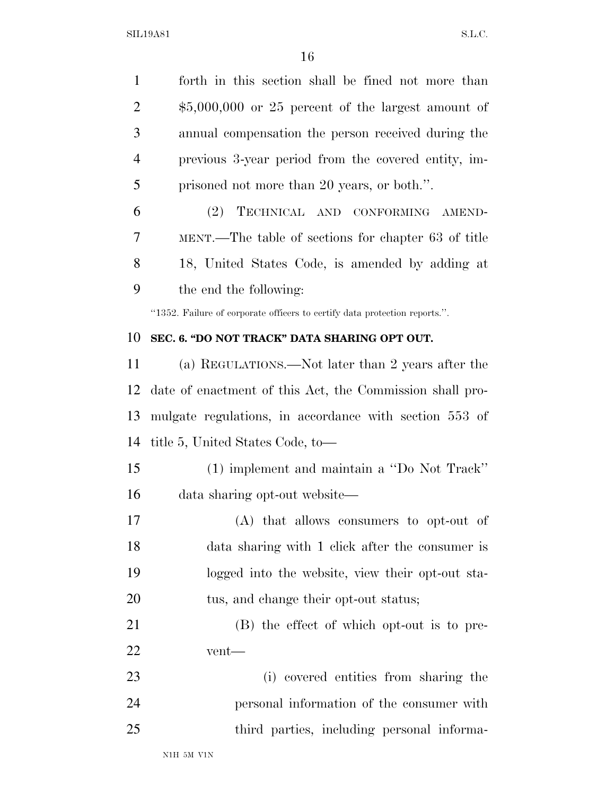forth in this section shall be fined not more than \$5,000,000 or 25 percent of the largest amount of annual compensation the person received during the previous 3-year period from the covered entity, im-prisoned not more than 20 years, or both.''.

 (2) TECHNICAL AND CONFORMING AMEND- MENT.—The table of sections for chapter 63 of title 18, United States Code, is amended by adding at the end the following:

''1352. Failure of corporate officers to certify data protection reports.''.

#### **SEC. 6. ''DO NOT TRACK'' DATA SHARING OPT OUT.**

 (a) REGULATIONS.—Not later than 2 years after the date of enactment of this Act, the Commission shall pro- mulgate regulations, in accordance with section 553 of title 5, United States Code, to—

- (1) implement and maintain a ''Do Not Track'' data sharing opt-out website—
- (A) that allows consumers to opt-out of data sharing with 1 click after the consumer is logged into the website, view their opt-out sta-20 tus, and change their opt-out status;
- (B) the effect of which opt-out is to pre-vent—
- (i) covered entities from sharing the personal information of the consumer with third parties, including personal informa-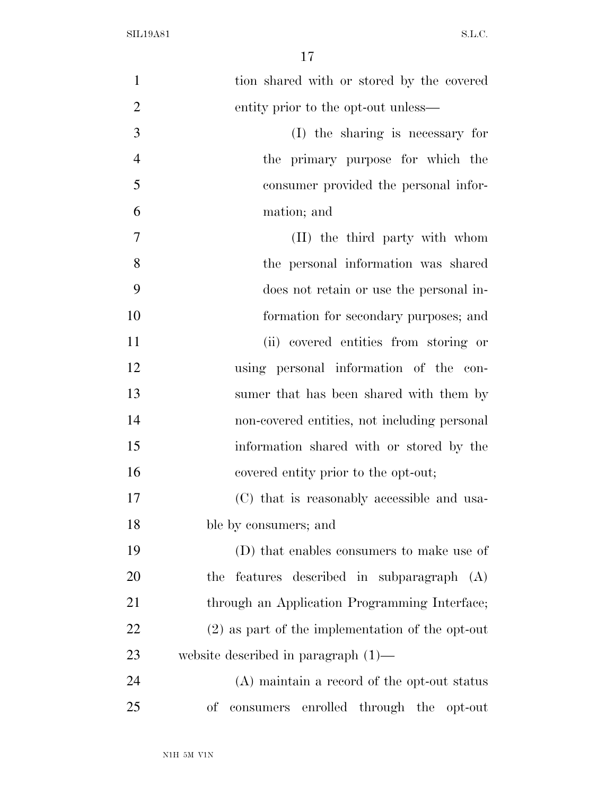| $\mathbf{1}$   | tion shared with or stored by the covered          |
|----------------|----------------------------------------------------|
| $\overline{2}$ | entity prior to the opt-out unless—                |
| 3              | (I) the sharing is necessary for                   |
| $\overline{4}$ | the primary purpose for which the                  |
| 5              | consumer provided the personal infor-              |
| 6              | mation; and                                        |
| 7              | (II) the third party with whom                     |
| 8              | the personal information was shared                |
| 9              | does not retain or use the personal in-            |
| 10             | formation for secondary purposes; and              |
| 11             | (ii) covered entities from storing or              |
| 12             | using personal information of the con-             |
| 13             | sumer that has been shared with them by            |
| 14             | non-covered entities, not including personal       |
| 15             | information shared with or stored by the           |
| 16             | covered entity prior to the opt-out;               |
| 17             | (C) that is reasonably accessible and usa-         |
| 18             | ble by consumers; and                              |
| 19             | (D) that enables consumers to make use of          |
| 20             | features described in subparagraph (A)<br>the      |
| 21             | through an Application Programming Interface;      |
| 22             | $(2)$ as part of the implementation of the opt-out |
| 23             | website described in paragraph $(1)$ —             |
| 24             | (A) maintain a record of the opt-out status        |
| 25             | enrolled through the<br>οf<br>consumers<br>opt-out |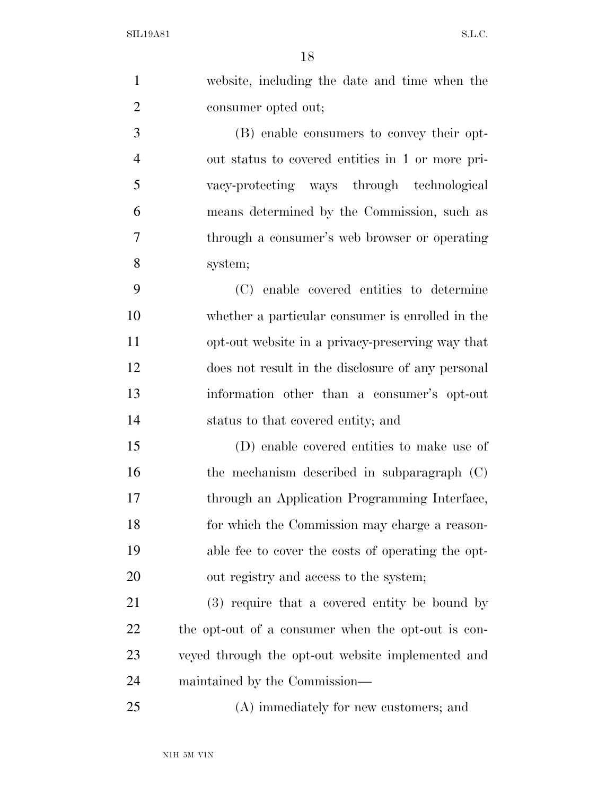| $\mathbf{1}$   | website, including the date and time when the      |
|----------------|----------------------------------------------------|
| $\overline{2}$ | consumer opted out;                                |
| 3              | (B) enable consumers to convey their opt-          |
| $\overline{4}$ | out status to covered entities in 1 or more pri-   |
| 5              | vacy-protecting ways through technological         |
| 6              | means determined by the Commission, such as        |
| $\overline{7}$ | through a consumer's web browser or operating      |
| 8              | system;                                            |
| 9              | (C) enable covered entities to determine           |
| 10             | whether a particular consumer is enrolled in the   |
| 11             | opt-out website in a privacy-preserving way that   |
| 12             | does not result in the disclosure of any personal  |
| 13             | information other than a consumer's opt-out        |
| 14             | status to that covered entity; and                 |
| 15             | (D) enable covered entities to make use of         |
| 16             | the mechanism described in subparagraph $(C)$      |
| 17             | through an Application Programming Interface,      |
| 18             | for which the Commission may charge a reason-      |
| 19             | able fee to cover the costs of operating the opt-  |
| <b>20</b>      | out registry and access to the system;             |
| 21             | (3) require that a covered entity be bound by      |
| 22             | the opt-out of a consumer when the opt-out is con- |
| 23             | veyed through the opt-out website implemented and  |
| 24             | maintained by the Commission—                      |
| 25             | (A) immediately for new customers; and             |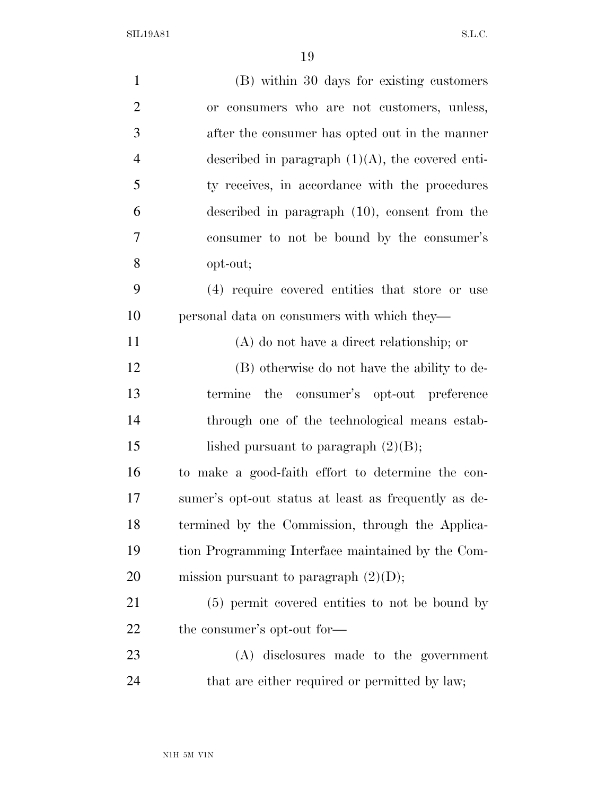| $\mathbf{1}$   | (B) within 30 days for existing customers            |
|----------------|------------------------------------------------------|
| $\overline{2}$ | or consumers who are not customers, unless,          |
| 3              | after the consumer has opted out in the manner       |
| $\overline{4}$ | described in paragraph $(1)(A)$ , the covered enti-  |
| 5              | ty receives, in accordance with the procedures       |
| 6              | described in paragraph (10), consent from the        |
| 7              | consumer to not be bound by the consumer's           |
| 8              | opt-out;                                             |
| 9              | (4) require covered entities that store or use       |
| 10             | personal data on consumers with which they—          |
| 11             | $(A)$ do not have a direct relationship; or          |
| 12             | (B) otherwise do not have the ability to de-         |
| 13             | the consumer's opt-out preference<br>termine         |
| 14             | through one of the technological means estab-        |
| 15             | lished pursuant to paragraph $(2)(B)$ ;              |
| 16             | to make a good-faith effort to determine the con-    |
| 17             | sumer's opt-out status at least as frequently as de- |
| 18             | termined by the Commission, through the Applica-     |
| 19             | tion Programming Interface maintained by the Com-    |
| 20             | mission pursuant to paragraph $(2)(D)$ ;             |
| 21             | (5) permit covered entities to not be bound by       |
| 22             | the consumer's opt-out for-                          |
| 23             | (A) disclosures made to the government               |
| 24             | that are either required or permitted by law;        |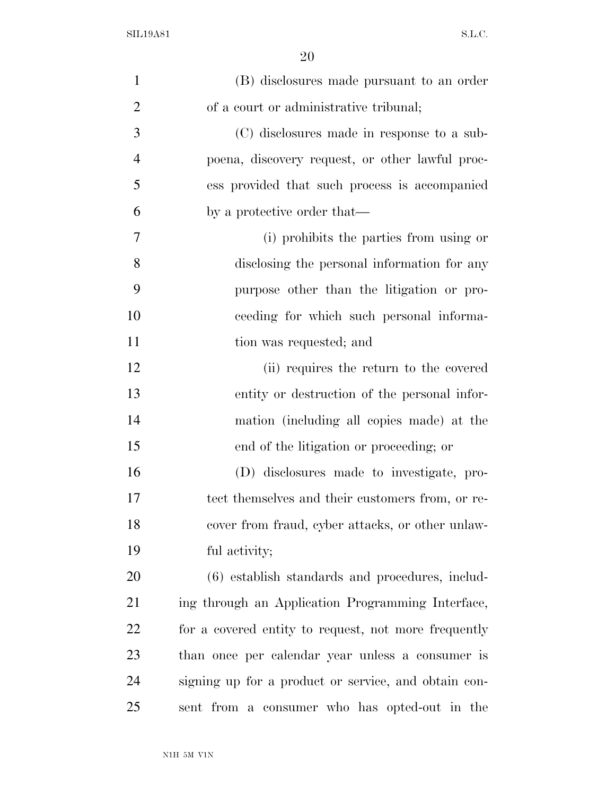| $\mathbf{1}$   | (B) disclosures made pursuant to an order            |
|----------------|------------------------------------------------------|
| $\overline{2}$ | of a court or administrative tribunal;               |
| 3              | (C) disclosures made in response to a sub-           |
| $\overline{4}$ | poena, discovery request, or other lawful proc-      |
| 5              | ess provided that such process is accompanied        |
| 6              | by a protective order that—                          |
| 7              | (i) prohibits the parties from using or              |
| 8              | disclosing the personal information for any          |
| 9              | purpose other than the litigation or pro-            |
| 10             | ceeding for which such personal informa-             |
| 11             | tion was requested; and                              |
| 12             | (ii) requires the return to the covered              |
| 13             | entity or destruction of the personal infor-         |
| 14             | mation (including all copies made) at the            |
| 15             | end of the litigation or proceeding; or              |
| 16             | (D) disclosures made to investigate, pro-            |
| 17             | tect themselves and their customers from, or re-     |
| 18             | cover from fraud, cyber attacks, or other unlaw-     |
| 19             | ful activity;                                        |
| 20             | (6) establish standards and procedures, includ-      |
| 21             | ing through an Application Programming Interface,    |
| 22             | for a covered entity to request, not more frequently |
| 23             | than once per calendar year unless a consumer is     |
| 24             | signing up for a product or service, and obtain con- |
| 25             | sent from a consumer who has opted-out in the        |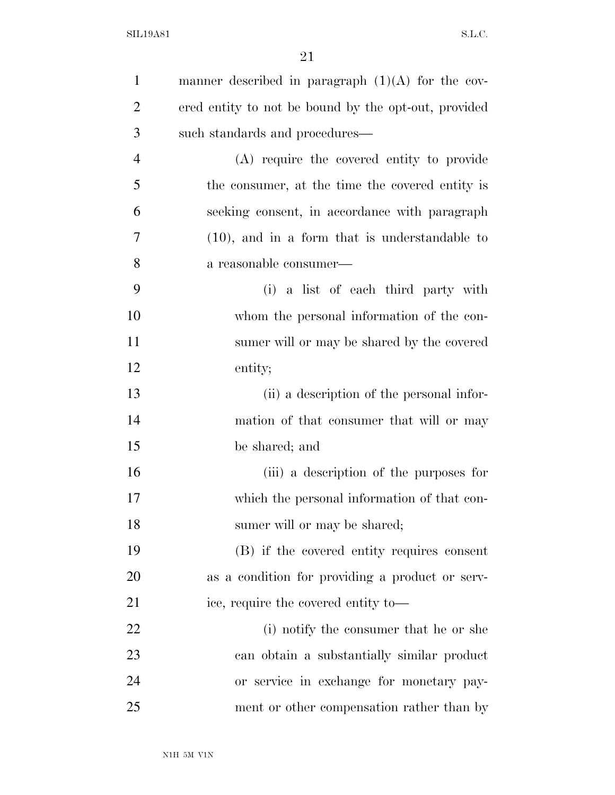| $\mathbf{1}$   | manner described in paragraph $(1)(A)$ for the cov-  |
|----------------|------------------------------------------------------|
| $\overline{2}$ | ered entity to not be bound by the opt-out, provided |
| 3              | such standards and procedures—                       |
| $\overline{4}$ | (A) require the covered entity to provide            |
| 5              | the consumer, at the time the covered entity is      |
| 6              | seeking consent, in accordance with paragraph        |
| 7              | $(10)$ , and in a form that is understandable to     |
| 8              | a reasonable consumer—                               |
| 9              | (i) a list of each third party with                  |
| 10             | whom the personal information of the con-            |
| 11             | sumer will or may be shared by the covered           |
| 12             | entity;                                              |
| 13             | (ii) a description of the personal infor-            |
| 14             | mation of that consumer that will or may             |
| 15             | be shared; and                                       |
| 16             | (iii) a description of the purposes for              |
| 17             | which the personal information of that con-          |
| 18             | sumer will or may be shared;                         |
| 19             | (B) if the covered entity requires consent           |
| 20             | as a condition for providing a product or serv-      |
| 21             | ice, require the covered entity to-                  |
| 22             | (i) notify the consumer that he or she               |
| 23             | can obtain a substantially similar product           |
| 24             | or service in exchange for monetary pay-             |
| 25             | ment or other compensation rather than by            |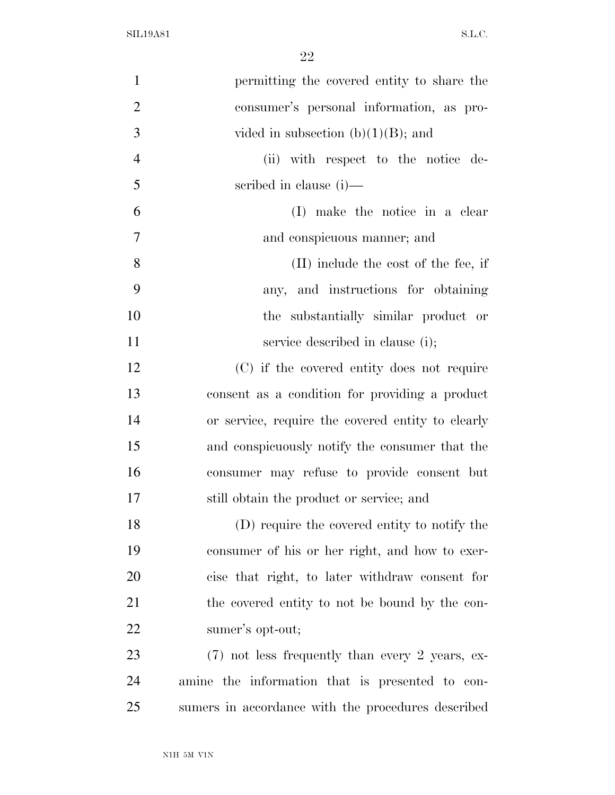| $\mathbf{1}$   | permitting the covered entity to share the         |
|----------------|----------------------------------------------------|
| $\overline{2}$ | consumer's personal information, as pro-           |
| 3              | vided in subsection $(b)(1)(B)$ ; and              |
| $\overline{4}$ | (ii) with respect to the notice de-                |
| 5              | scribed in clause $(i)$ —                          |
| 6              | (I) make the notice in a clear                     |
| $\tau$         | and conspicuous manner; and                        |
| 8              | $(II)$ include the cost of the fee, if             |
| 9              | any, and instructions for obtaining                |
| 10             | the substantially similar product or               |
| 11             | service described in clause (i);                   |
| 12             | (C) if the covered entity does not require         |
| 13             | consent as a condition for providing a product     |
| 14             | or service, require the covered entity to clearly  |
| 15             | and conspicuously notify the consumer that the     |
| 16             | consumer may refuse to provide consent but         |
| 17             | still obtain the product or service; and           |
| 18             | (D) require the covered entity to notify the       |
| 19             | consumer of his or her right, and how to exer-     |
| 20             | cise that right, to later withdraw consent for     |
| 21             | the covered entity to not be bound by the con-     |
| 22             | sumer's opt-out;                                   |
| 23             | $(7)$ not less frequently than every 2 years, ex-  |
| 24             | amine the information that is presented to con-    |
| 25             | sumers in accordance with the procedures described |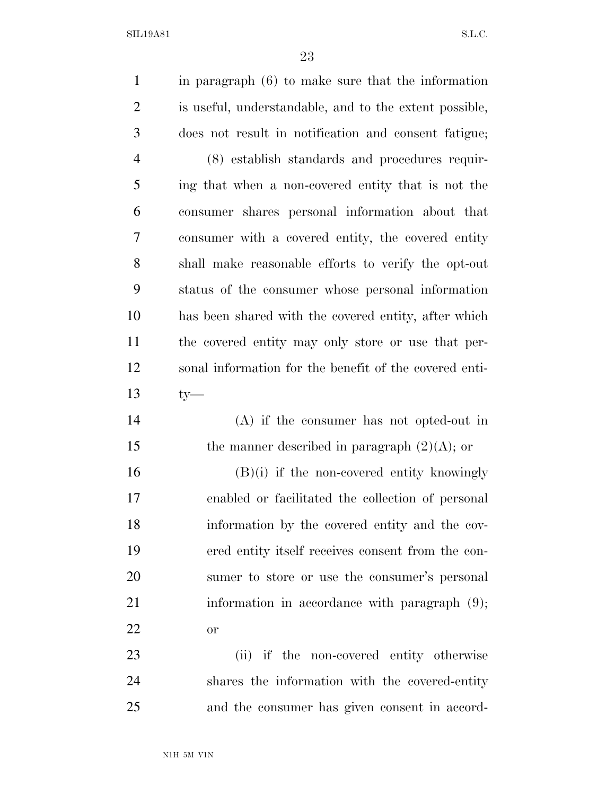| $\mathbf{1}$   | in paragraph $(6)$ to make sure that the information   |
|----------------|--------------------------------------------------------|
| $\overline{2}$ | is useful, understandable, and to the extent possible, |
| 3              | does not result in notification and consent fatigue;   |
| $\overline{4}$ | (8) establish standards and procedures requir-         |
| 5              | ing that when a non-covered entity that is not the     |
| 6              | consumer shares personal information about that        |
| 7              | consumer with a covered entity, the covered entity     |
| 8              | shall make reasonable efforts to verify the opt-out    |
| 9              | status of the consumer whose personal information      |
| 10             | has been shared with the covered entity, after which   |
| 11             | the covered entity may only store or use that per-     |
| 12             | sonal information for the benefit of the covered enti- |
| 13             | $ty-$                                                  |
| 14             | $(A)$ if the consumer has not opted-out in             |
| 15             | the manner described in paragraph $(2)(A)$ ; or        |
| 16             | $(B)(i)$ if the non-covered entity knowingly           |
| 17             | enabled or facilitated the collection of personal      |
| 18             | information by the covered entity and the cov-         |
| 19             | ered entity itself receives consent from the con-      |
| 20             | sumer to store or use the consumer's personal          |
| 21             | information in accordance with paragraph $(9)$ ;       |
| 22             | <b>or</b>                                              |
| 23             | (ii) if the non-covered entity otherwise               |
| 24             | shares the information with the covered-entity         |
| 25             | and the consumer has given consent in accord-          |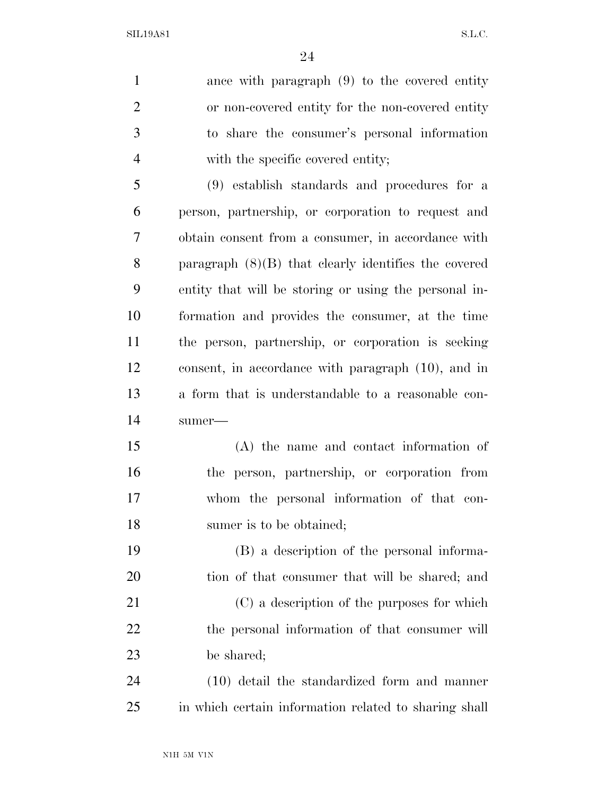ance with paragraph (9) to the covered entity or non-covered entity for the non-covered entity to share the consumer's personal information with the specific covered entity;

 (9) establish standards and procedures for a person, partnership, or corporation to request and obtain consent from a consumer, in accordance with paragraph (8)(B) that clearly identifies the covered entity that will be storing or using the personal in- formation and provides the consumer, at the time the person, partnership, or corporation is seeking consent, in accordance with paragraph (10), and in a form that is understandable to a reasonable con-sumer—

 (A) the name and contact information of the person, partnership, or corporation from whom the personal information of that con-18 sumer is to be obtained;

 (B) a description of the personal informa- tion of that consumer that will be shared; and (C) a description of the purposes for which 22 the personal information of that consumer will be shared;

 (10) detail the standardized form and manner in which certain information related to sharing shall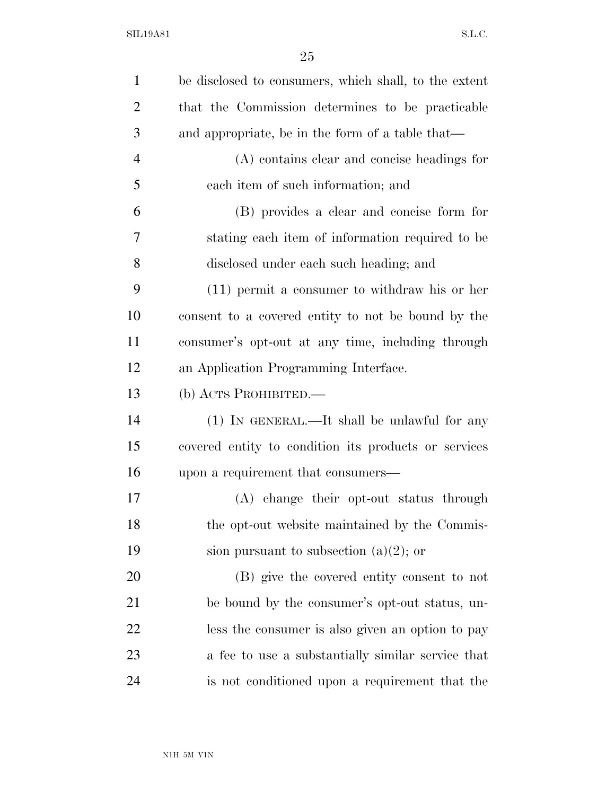| $\mathbf{1}$   | be disclosed to consumers, which shall, to the extent |
|----------------|-------------------------------------------------------|
| $\overline{2}$ | that the Commission determines to be practicable      |
| 3              | and appropriate, be in the form of a table that—      |
| $\overline{4}$ | (A) contains clear and concise headings for           |
| 5              | each item of such information; and                    |
| 6              | (B) provides a clear and concise form for             |
| 7              | stating each item of information required to be       |
| 8              | disclosed under each such heading; and                |
| 9              | $(11)$ permit a consumer to withdraw his or her       |
| 10             | consent to a covered entity to not be bound by the    |
| 11             | consumer's opt-out at any time, including through     |
| 12             | an Application Programming Interface.                 |
| 13             | (b) ACTS PROHIBITED.                                  |
| 14             | (1) IN GENERAL.—It shall be unlawful for any          |
| 15             | covered entity to condition its products or services  |
| 16             | upon a requirement that consumers—                    |
| 17             | (A) change their opt-out status through               |
| 18             | the opt-out website maintained by the Commis-         |
| 19             | sion pursuant to subsection $(a)(2)$ ; or             |
| 20             | (B) give the covered entity consent to not            |
| 21             | be bound by the consumer's opt-out status, un-        |
| 22             | less the consumer is also given an option to pay      |
| 23             | a fee to use a substantially similar service that     |
| 24             | is not conditioned upon a requirement that the        |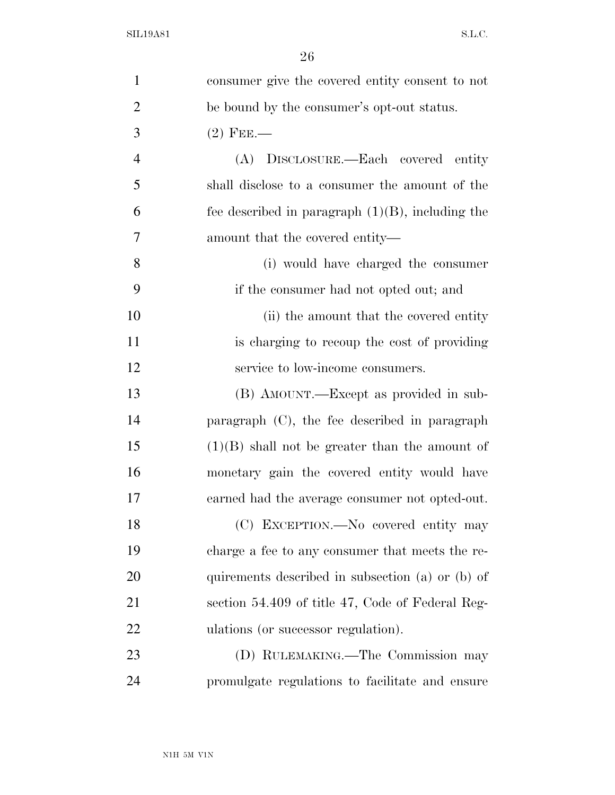| $\mathbf{1}$   | consumer give the covered entity consent to not     |
|----------------|-----------------------------------------------------|
| $\overline{2}$ | be bound by the consumer's opt-out status.          |
| 3              | $(2)$ FEE.—                                         |
| $\overline{4}$ | (A) DISCLOSURE.—Each covered entity                 |
| 5              | shall disclose to a consumer the amount of the      |
| 6              | fee described in paragraph $(1)(B)$ , including the |
| $\overline{7}$ | amount that the covered entity—                     |
| 8              | (i) would have charged the consumer                 |
| 9              | if the consumer had not opted out; and              |
| 10             | (ii) the amount that the covered entity             |
| 11             | is charging to recoup the cost of providing         |
| 12             | service to low-income consumers.                    |
| 13             | (B) AMOUNT.—Except as provided in sub-              |
| 14             | paragraph (C), the fee described in paragraph       |
| 15             | $(1)(B)$ shall not be greater than the amount of    |
| 16             | monetary gain the covered entity would have         |
| 17             | earned had the average consumer not opted-out.      |
| 18             | (C) EXCEPTION.—No covered entity may                |
| 19             | charge a fee to any consumer that meets the re-     |
| 20             | quirements described in subsection (a) or (b) of    |
| 21             | section 54.409 of title 47, Code of Federal Reg-    |
| 22             | ulations (or successor regulation).                 |
| 23             | (D) RULEMAKING.—The Commission may                  |
| 24             | promulgate regulations to facilitate and ensure     |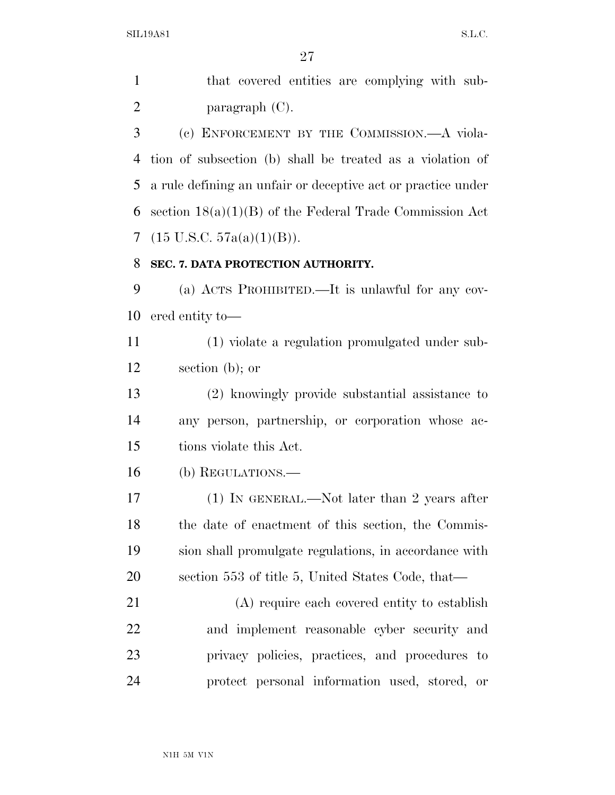that covered entities are complying with sub-paragraph (C).

 (c) ENFORCEMENT BY THE COMMISSION.—A viola- tion of subsection (b) shall be treated as a violation of a rule defining an unfair or deceptive act or practice under section 18(a)(1)(B) of the Federal Trade Commission Act (15 U.S.C. 57a(a)(1)(B)).

#### **SEC. 7. DATA PROTECTION AUTHORITY.**

 (a) ACTS PROHIBITED.—It is unlawful for any cov-ered entity to—

 (1) violate a regulation promulgated under sub-section (b); or

 (2) knowingly provide substantial assistance to any person, partnership, or corporation whose ac-tions violate this Act.

(b) REGULATIONS.—

17 (1) IN GENERAL.—Not later than 2 years after the date of enactment of this section, the Commis- sion shall promulgate regulations, in accordance with section 553 of title 5, United States Code, that—

 (A) require each covered entity to establish and implement reasonable cyber security and privacy policies, practices, and procedures to protect personal information used, stored, or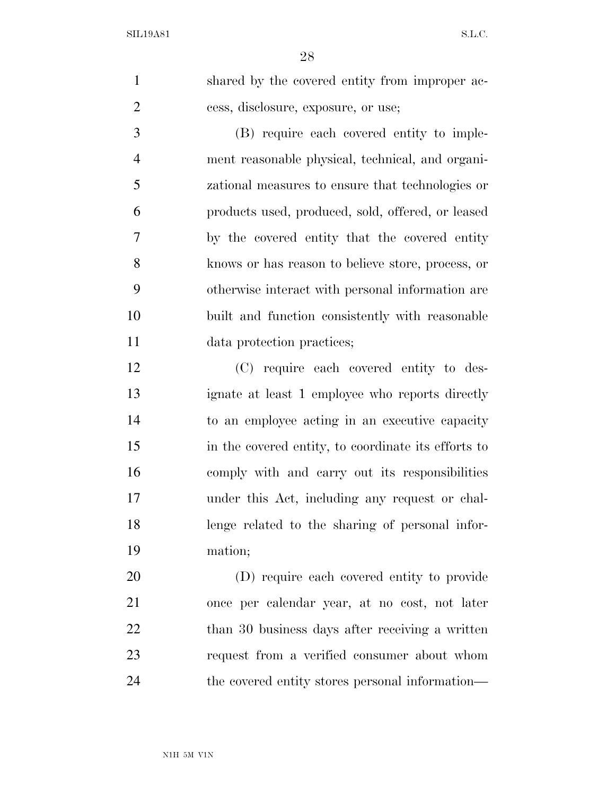shared by the covered entity from improper ac-cess, disclosure, exposure, or use;

 (B) require each covered entity to imple- ment reasonable physical, technical, and organi- zational measures to ensure that technologies or products used, produced, sold, offered, or leased by the covered entity that the covered entity knows or has reason to believe store, process, or otherwise interact with personal information are built and function consistently with reasonable data protection practices;

 (C) require each covered entity to des- ignate at least 1 employee who reports directly to an employee acting in an executive capacity in the covered entity, to coordinate its efforts to comply with and carry out its responsibilities under this Act, including any request or chal- lenge related to the sharing of personal infor-mation;

 (D) require each covered entity to provide once per calendar year, at no cost, not later 22 than 30 business days after receiving a written request from a verified consumer about whom the covered entity stores personal information—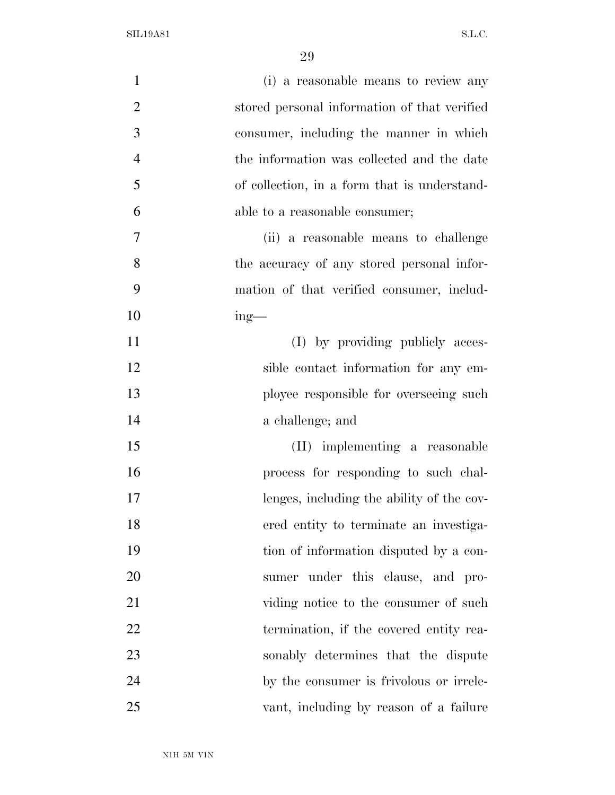| $\mathbf{1}$   | (i) a reasonable means to review any         |
|----------------|----------------------------------------------|
| $\mathbf{2}$   | stored personal information of that verified |
| 3              | consumer, including the manner in which      |
| $\overline{4}$ | the information was collected and the date   |
| 5              | of collection, in a form that is understand- |
| 6              | able to a reasonable consumer;               |
| $\overline{7}$ | (ii) a reasonable means to challenge         |
| 8              | the accuracy of any stored personal infor-   |
| 9              | mation of that verified consumer, includ-    |
| 10             | $ing$ —                                      |
| 11             | (I) by providing publicly acces-             |
| 12             | sible contact information for any em-        |
| 13             | ployee responsible for overseeing such       |
| 14             | a challenge; and                             |
| 15             | (II) implementing a reasonable               |
| 16             | process for responding to such chal-         |
| 17             | lenges, including the ability of the cov-    |
| 18             | ered entity to terminate an investiga-       |
| 19             | tion of information disputed by a con-       |
| 20             | sumer under this clause, and pro-            |
| 21             | viding notice to the consumer of such        |
| 22             | termination, if the covered entity rea-      |
| 23             | sonably determines that the dispute          |
| 24             | by the consumer is frivolous or irrele-      |
| 25             | vant, including by reason of a failure       |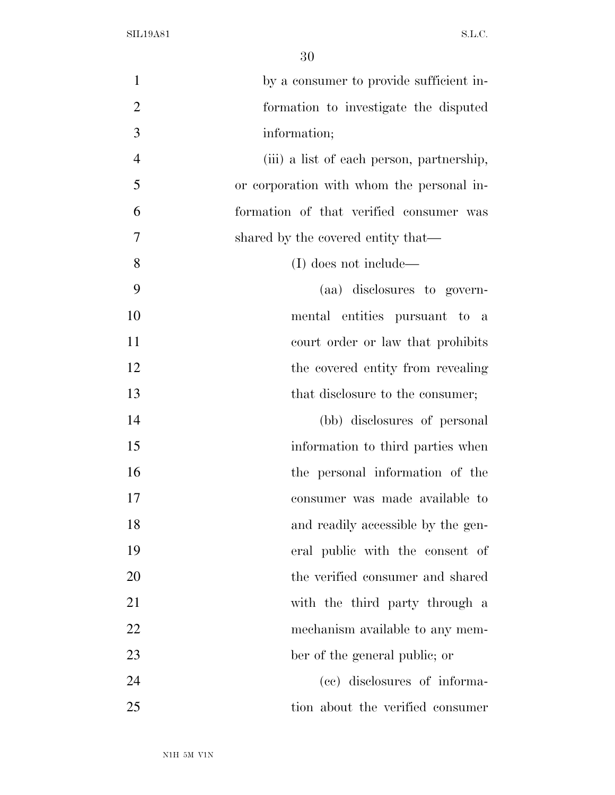| $\mathbf{1}$   | by a consumer to provide sufficient in-   |
|----------------|-------------------------------------------|
| $\overline{2}$ | formation to investigate the disputed     |
| 3              | information;                              |
| $\overline{4}$ | (iii) a list of each person, partnership, |
| 5              | or corporation with whom the personal in- |
| 6              | formation of that verified consumer was   |
| 7              | shared by the covered entity that—        |
| 8              | (I) does not include—                     |
| 9              | (aa) disclosures to govern-               |
| 10             | mental entities pursuant to a             |
| 11             | court order or law that prohibits         |
| 12             | the covered entity from revealing         |
| 13             | that disclosure to the consumer;          |
| 14             | (bb) disclosures of personal              |
| 15             | information to third parties when         |
| 16             | the personal information of the           |
| 17             | consumer was made available to            |
| 18             | and readily accessible by the gen-        |
| 19             | eral public with the consent of           |
| 20             | the verified consumer and shared          |
| 21             | with the third party through a            |
| 22             | mechanism available to any mem-           |
| 23             | ber of the general public; or             |
| 24             | (cc) disclosures of informa-              |
| 25             | tion about the verified consumer          |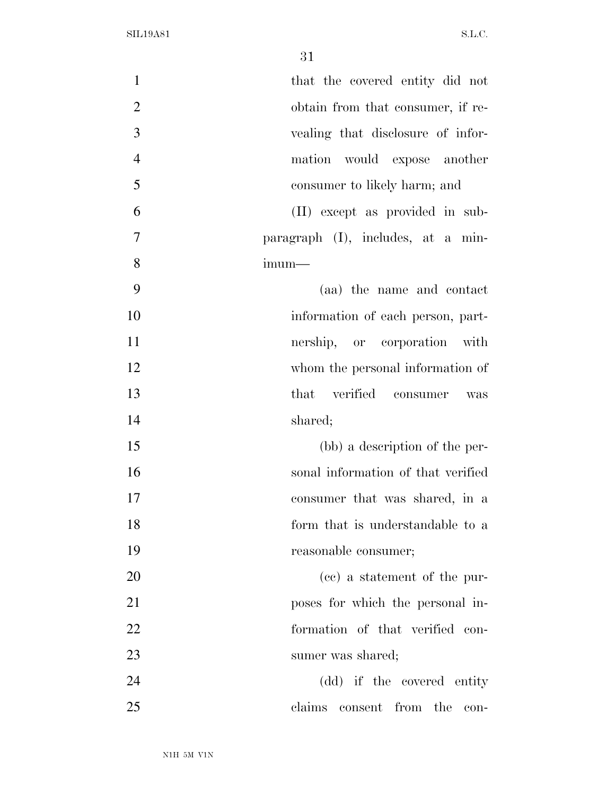| $\mathbf{1}$   | that the covered entity did not    |
|----------------|------------------------------------|
| $\mathbf{2}$   | obtain from that consumer, if re-  |
| 3              | vealing that disclosure of infor-  |
| $\overline{4}$ | would expose another<br>mation     |
| 5              | consumer to likely harm; and       |
| 6              | (II) except as provided in sub-    |
| $\overline{7}$ | paragraph (I), includes, at a min- |
| 8              | $imum-$                            |
| 9              | (aa) the name and contact          |
| 10             | information of each person, part-  |
| 11             | nership, or corporation with       |
| 12             | whom the personal information of   |
| 13             | that verified consumer<br>was      |
| 14             | shared;                            |
| 15             | (bb) a description of the per-     |
| 16             | sonal information of that verified |
| 17             | consumer that was shared, in a     |
| 18             | form that is understandable to a   |
| 19             | reasonable consumer;               |
| 20             | (cc) a statement of the pur-       |
| 21             | poses for which the personal in-   |
| 22             | formation of that verified con-    |
| 23             | sumer was shared;                  |
| 24             | (dd) if the covered entity         |
| 25             | claims consent from the con-       |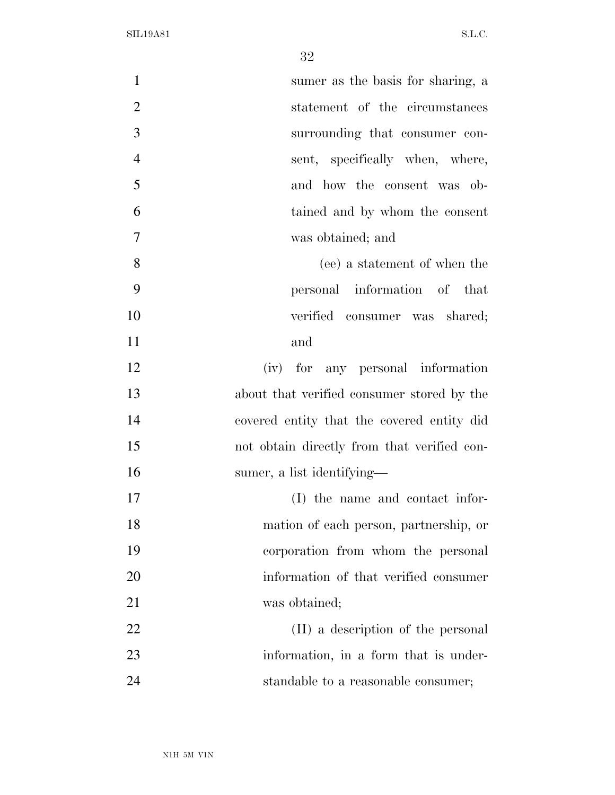| $\mathbf{1}$   | sumer as the basis for sharing, a           |
|----------------|---------------------------------------------|
| $\overline{2}$ | statement of the circumstances              |
| 3              | surrounding that consumer con-              |
| $\overline{4}$ | sent, specifically when, where,             |
| 5              | and how the consent was ob-                 |
| 6              | tained and by whom the consent              |
| 7              | was obtained; and                           |
| 8              | (ee) a statement of when the                |
| 9              | personal information of that                |
| 10             | verified consumer was shared;               |
| 11             | and                                         |
| 12             | (iv) for any personal information           |
| 13             | about that verified consumer stored by the  |
| 14             | covered entity that the covered entity did  |
| 15             | not obtain directly from that verified con- |
| 16             | sumer, a list identifying—                  |
| 17             | (I) the name and contact infor-             |
| 18             | mation of each person, partnership, or      |
| 19             | corporation from whom the personal          |
| 20             | information of that verified consumer       |
| 21             | was obtained;                               |
| 22             | (II) a description of the personal          |
| 23             | information, in a form that is under-       |
| 24             | standable to a reasonable consumer;         |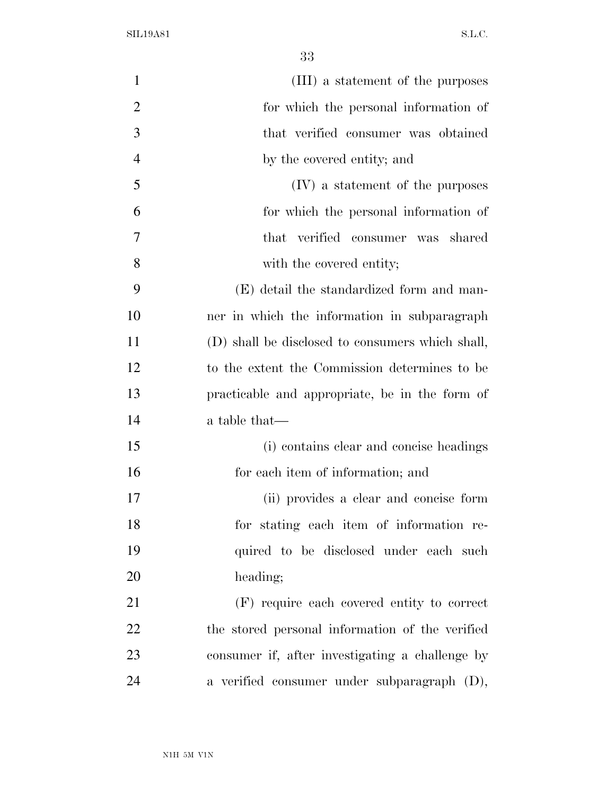| $\mathbf{1}$   | (III) a statement of the purposes                |
|----------------|--------------------------------------------------|
| $\overline{2}$ | for which the personal information of            |
| 3              | that verified consumer was obtained              |
| $\overline{4}$ | by the covered entity; and                       |
| 5              | (IV) a statement of the purposes                 |
| 6              | for which the personal information of            |
| 7              | that verified consumer was shared                |
| 8              | with the covered entity;                         |
| 9              | (E) detail the standardized form and man-        |
| 10             | ner in which the information in subparagraph     |
| 11             | (D) shall be disclosed to consumers which shall, |
| 12             | to the extent the Commission determines to be    |
| 13             | practicable and appropriate, be in the form of   |
| 14             | a table that—                                    |
| 15             | (i) contains clear and concise headings          |
| 16             | for each item of information; and                |
| 17             | (ii) provides a clear and concise form           |
| 18             | for stating each item of information re-         |
| 19             | quired to be disclosed under each such           |
| 20             | heading;                                         |
| 21             | (F) require each covered entity to correct       |
| 22             | the stored personal information of the verified  |
| 23             | consumer if, after investigating a challenge by  |
| 24             | a verified consumer under subparagraph (D),      |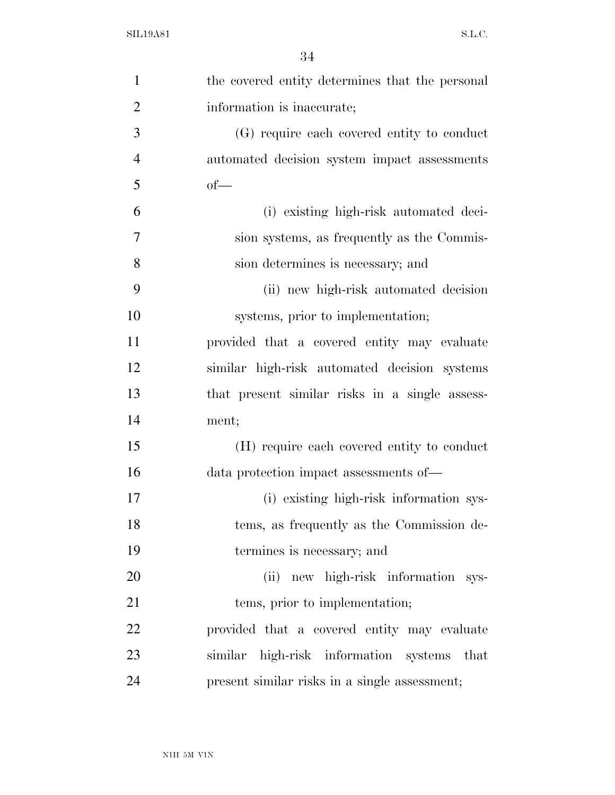| $\mathbf{1}$   | the covered entity determines that the personal |
|----------------|-------------------------------------------------|
| $\overline{2}$ | information is inaccurate;                      |
| 3              | (G) require each covered entity to conduct      |
| $\overline{4}$ | automated decision system impact assessments    |
| 5              | $of$ —                                          |
| 6              | (i) existing high-risk automated deci-          |
| 7              | sion systems, as frequently as the Commis-      |
| 8              | sion determines is necessary; and               |
| 9              | (ii) new high-risk automated decision           |
| 10             | systems, prior to implementation;               |
| 11             | provided that a covered entity may evaluate     |
| 12             | similar high-risk automated decision systems    |
| 13             | that present similar risks in a single assess-  |
| 14             | ment;                                           |
| 15             | (H) require each covered entity to conduct      |
| 16             | data protection impact assessments of-          |
| 17             | (i) existing high-risk information sys-         |
| 18             | tems, as frequently as the Commission de-       |
| 19             | termines is necessary; and                      |
| 20             | (ii) new high-risk information sys-             |
| 21             | tems, prior to implementation;                  |
| 22             | provided that a covered entity may evaluate     |
| 23             | similar high-risk information systems<br>that   |
| 24             | present similar risks in a single assessment;   |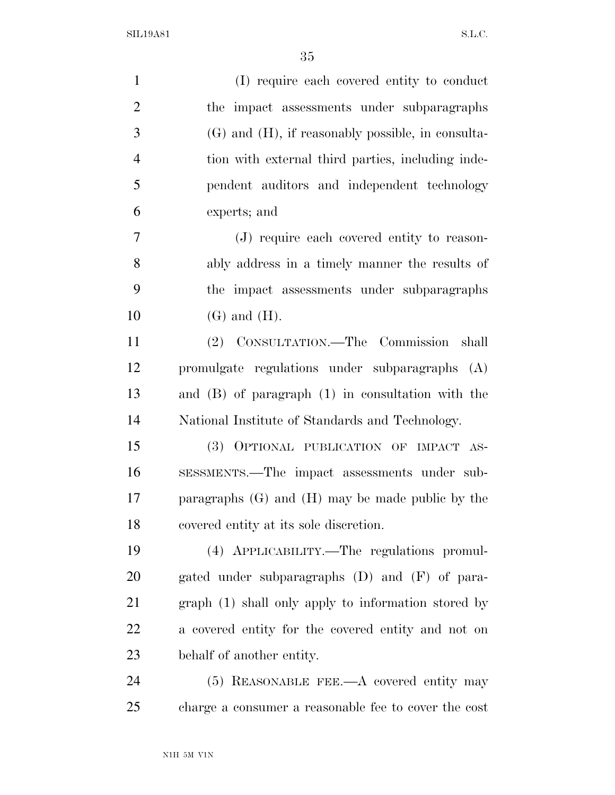| $\mathbf{1}$   | (I) require each covered entity to conduct             |
|----------------|--------------------------------------------------------|
| $\overline{2}$ | the impact assessments under subparagraphs             |
| 3              | $(G)$ and $(H)$ , if reasonably possible, in consulta- |
| $\overline{4}$ | tion with external third parties, including inde-      |
| 5              | pendent auditors and independent technology            |
| 6              | experts; and                                           |
| 7              | (J) require each covered entity to reason-             |
| 8              | ably address in a timely manner the results of         |
| 9              | the impact assessments under subparagraphs             |
| 10             | $(G)$ and $(H)$ .                                      |
| 11             | (2) CONSULTATION.—The Commission shall                 |
|                |                                                        |
| 12             | promulgate regulations under subparagraphs (A)         |
| 13             | and $(B)$ of paragraph $(1)$ in consultation with the  |
| 14             | National Institute of Standards and Technology.        |
| 15             | (3) OPTIONAL PUBLICATION OF IMPACT AS-                 |
| 16             | SESSMENTS.—The impact assessments under sub-           |
| 17             | paragraphs $(G)$ and $(H)$ may be made public by the   |
| 18             | covered entity at its sole discretion.                 |
| 19             | (4) APPLICABILITY.—The regulations promul-             |
| 20             | gated under subparagraphs (D) and (F) of para-         |
| 21             | graph (1) shall only apply to information stored by    |
| 22             | a covered entity for the covered entity and not on     |
| 23             | behalf of another entity.                              |
| 24             | $(5)$ REASONABLE FEE.—A covered entity may             |
| 25             | charge a consumer a reasonable fee to cover the cost   |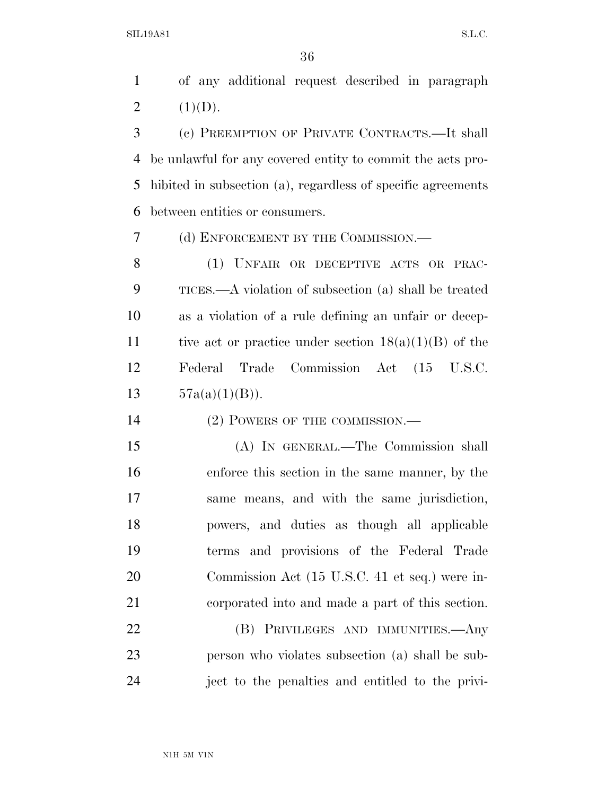of any additional request described in paragraph 2  $(1)(D)$ .

 (c) PREEMPTION OF PRIVATE CONTRACTS.—It shall be unlawful for any covered entity to commit the acts pro- hibited in subsection (a), regardless of specific agreements between entities or consumers.

(d) ENFORCEMENT BY THE COMMISSION.—

 (1) UNFAIR OR DECEPTIVE ACTS OR PRAC- TICES.—A violation of subsection (a) shall be treated as a violation of a rule defining an unfair or decep-11 tive act or practice under section  $18(a)(1)(B)$  of the Federal Trade Commission Act (15 U.S.C.  $57a(a)(1)(B)$ .

14 (2) POWERS OF THE COMMISSION.—

 (A) IN GENERAL.—The Commission shall enforce this section in the same manner, by the same means, and with the same jurisdiction, powers, and duties as though all applicable terms and provisions of the Federal Trade Commission Act (15 U.S.C. 41 et seq.) were in-corporated into and made a part of this section.

 (B) PRIVILEGES AND IMMUNITIES.—Any person who violates subsection (a) shall be sub-ject to the penalties and entitled to the privi-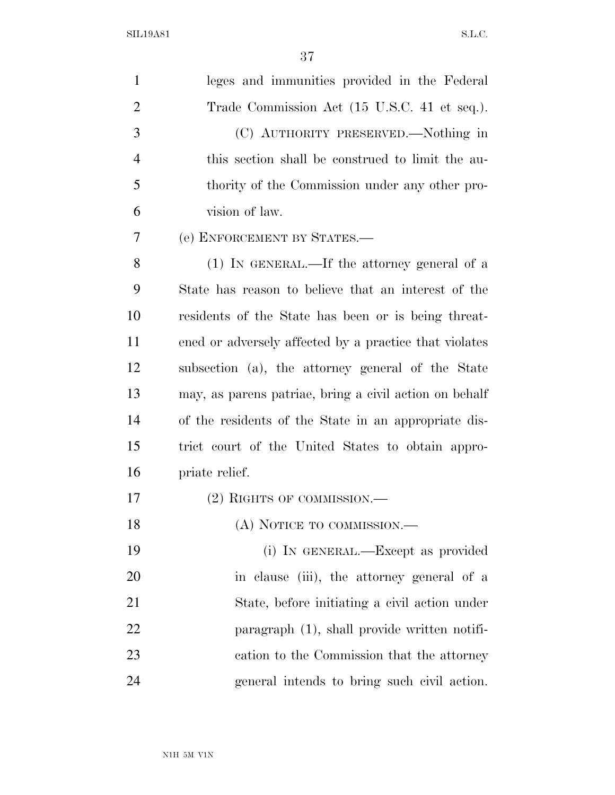| 1              | leges and immunities provided in the Federal           |
|----------------|--------------------------------------------------------|
| $\overline{2}$ | Trade Commission Act (15 U.S.C. 41 et seq.).           |
| 3              | (C) AUTHORITY PRESERVED.—Nothing in                    |
| $\overline{4}$ | this section shall be construed to limit the au-       |
| 5              | thority of the Commission under any other pro-         |
| 6              | vision of law.                                         |
| 7              | (e) ENFORCEMENT BY STATES.—                            |
| 8              | $(1)$ In GENERAL.—If the attorney general of a         |
| 9              | State has reason to believe that an interest of the    |
| 10             | residents of the State has been or is being threat-    |
| 11             | ened or adversely affected by a practice that violates |
| 12             | subsection (a), the attorney general of the State      |
| 13             | may, as parent patriae, bring a civil action on behalf |
| 14             | of the residents of the State in an appropriate dis-   |
| 15             | trict court of the United States to obtain appro-      |
| 16             | priate relief.                                         |
| 17             | $(2)$ RIGHTS OF COMMISSION.—                           |
| 18             | (A) NOTICE TO COMMISSION.—                             |
| 19             | (i) IN GENERAL.—Except as provided                     |
| 20             | in clause (iii), the attorney general of a             |
| 21             | State, before initiating a civil action under          |
| 22             | paragraph $(1)$ , shall provide written notifi-        |
| 23             | cation to the Commission that the attorney             |
| 24             | general intends to bring such civil action.            |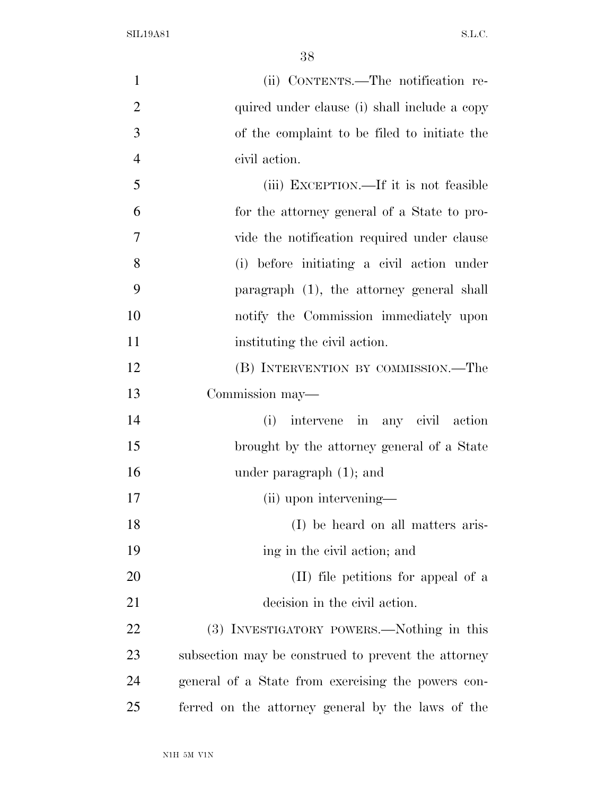| $\mathbf{1}$   | (ii) CONTENTS.—The notification re-                 |
|----------------|-----------------------------------------------------|
| $\overline{2}$ | quired under clause (i) shall include a copy        |
| 3              | of the complaint to be filed to initiate the        |
| $\overline{4}$ | civil action.                                       |
| 5              | (iii) EXCEPTION.—If it is not feasible              |
| 6              | for the attorney general of a State to pro-         |
| 7              | vide the notification required under clause         |
| 8              | (i) before initiating a civil action under          |
| 9              | paragraph (1), the attorney general shall           |
| 10             | notify the Commission immediately upon              |
| 11             | instituting the civil action.                       |
| 12             | (B) INTERVENTION BY COMMISSION.—The                 |
| 13             | Commission may—                                     |
| 14             | intervene in any civil action<br>(i)                |
| 15             | brought by the attorney general of a State          |
| 16             | under paragraph $(1)$ ; and                         |
| 17             | (ii) upon intervening—                              |
| 18             | (I) be heard on all matters aris-                   |
| 19             | ing in the civil action; and                        |
| 20             | (II) file petitions for appeal of a                 |
| 21             | decision in the civil action.                       |
| <u>22</u>      | (3) INVESTIGATORY POWERS.—Nothing in this           |
| 23             | subsection may be construed to prevent the attorney |
| 24             | general of a State from exercising the powers con-  |
| 25             | ferred on the attorney general by the laws of the   |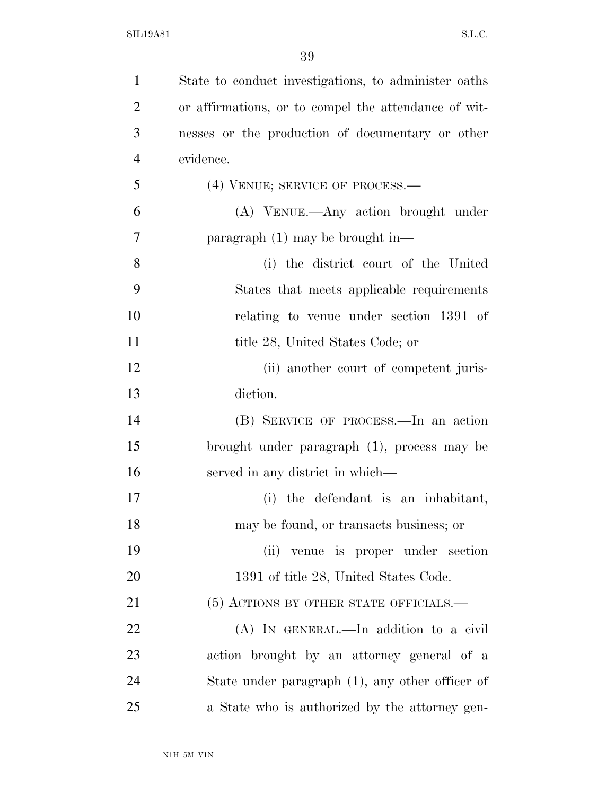| $\mathbf{1}$   | State to conduct investigations, to administer oaths |
|----------------|------------------------------------------------------|
| $\overline{2}$ | or affirmations, or to compel the attendance of wit- |
| 3              | nesses or the production of documentary or other     |
| $\overline{4}$ | evidence.                                            |
| 5              | (4) VENUE; SERVICE OF PROCESS.—                      |
| 6              | (A) VENUE.—Any action brought under                  |
| 7              | paragraph $(1)$ may be brought in—                   |
| 8              | (i) the district court of the United                 |
| 9              | States that meets applicable requirements            |
| 10             | relating to venue under section 1391 of              |
| 11             | title 28, United States Code; or                     |
| 12             | (ii) another court of competent juris-               |
| 13             | diction.                                             |
| 14             | (B) SERVICE OF PROCESS.—In an action                 |
| 15             | brought under paragraph (1), process may be          |
| 16             | served in any district in which—                     |
| 17             | (i) the defendant is an inhabitant,                  |
| 18             | may be found, or transacts business; or              |
| 19             | (ii) venue is proper under section                   |
| 20             | 1391 of title 28, United States Code.                |
| 21             | (5) ACTIONS BY OTHER STATE OFFICIALS.—               |
| 22             | (A) IN GENERAL.—In addition to a civil               |
| 23             | action brought by an attorney general of a           |
| 24             | State under paragraph $(1)$ , any other officer of   |
| 25             | a State who is authorized by the attorney gen-       |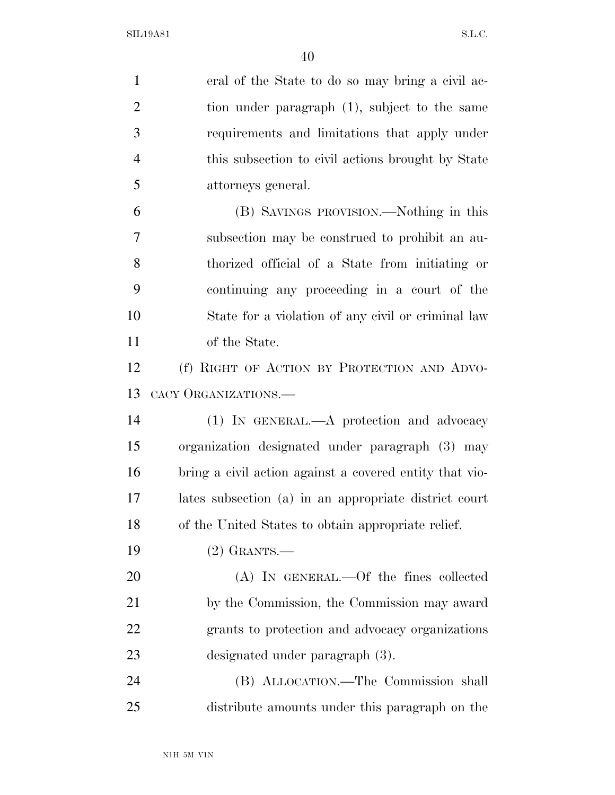| $\mathbf{1}$   | eral of the State to do so may bring a civil ac-        |
|----------------|---------------------------------------------------------|
| $\overline{2}$ | tion under paragraph (1), subject to the same           |
| 3              | requirements and limitations that apply under           |
| $\overline{4}$ | this subsection to civil actions brought by State       |
| 5              | attorneys general.                                      |
| 6              | (B) SAVINGS PROVISION.—Nothing in this                  |
| 7              | subsection may be construed to prohibit an au-          |
| 8              | thorized official of a State from initiating or         |
| 9              | continuing any proceeding in a court of the             |
| 10             | State for a violation of any civil or criminal law      |
| 11             | of the State.                                           |
| 12             | (f) RIGHT OF ACTION BY PROTECTION AND ADVO-             |
| 13             | CACY ORGANIZATIONS.                                     |
| 14             | (1) IN GENERAL.—A protection and advocacy               |
| 15             | organization designated under paragraph (3) may         |
| 16             | bring a civil action against a covered entity that vio- |
| 17             | lates subsection (a) in an appropriate district court   |
| 18             | of the United States to obtain appropriate relief.      |
| 19             | $(2)$ GRANTS.—                                          |
| 20             | (A) IN GENERAL.—Of the fines collected                  |
| 21             | by the Commission, the Commission may award             |
| 22             | grants to protection and advocacy organizations         |
| 23             | designated under paragraph (3).                         |
| 24             | (B) ALLOCATION.—The Commission shall                    |
| 25             | distribute amounts under this paragraph on the          |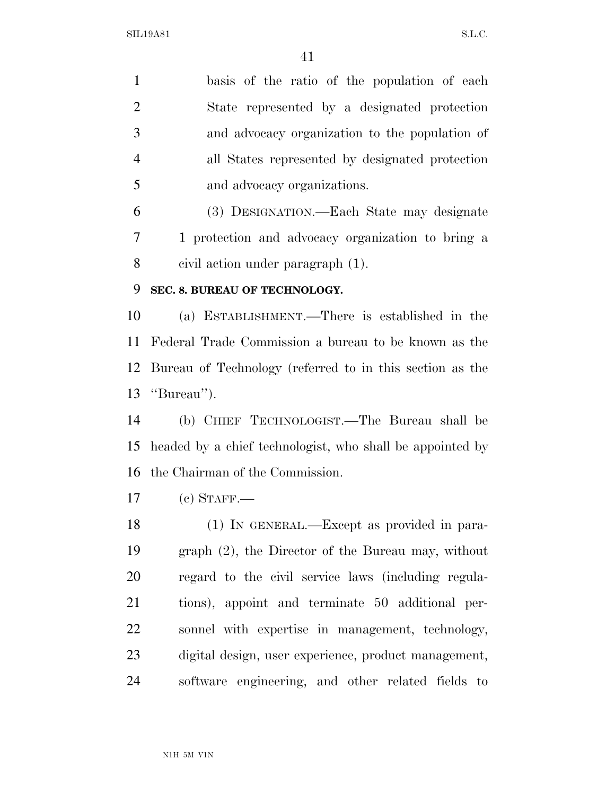basis of the ratio of the population of each State represented by a designated protection and advocacy organization to the population of all States represented by designated protection and advocacy organizations. (3) DESIGNATION.—Each State may designate 1 protection and advocacy organization to bring a civil action under paragraph (1). **SEC. 8. BUREAU OF TECHNOLOGY.**  (a) ESTABLISHMENT.—There is established in the Federal Trade Commission a bureau to be known as the Bureau of Technology (referred to in this section as the ''Bureau''). (b) CHIEF TECHNOLOGIST.—The Bureau shall be headed by a chief technologist, who shall be appointed by the Chairman of the Commission. (c) STAFF.— (1) IN GENERAL.—Except as provided in para- graph (2), the Director of the Bureau may, without regard to the civil service laws (including regula- tions), appoint and terminate 50 additional per- sonnel with expertise in management, technology, digital design, user experience, product management, software engineering, and other related fields to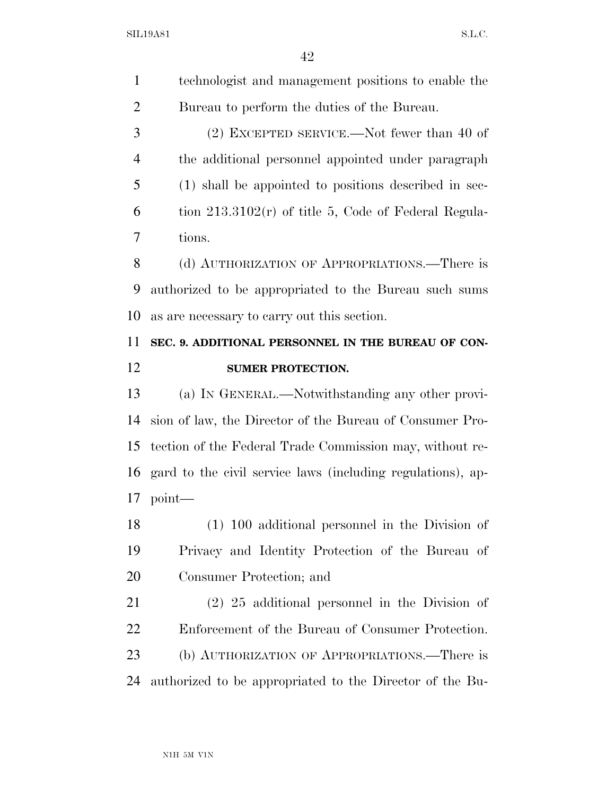| 1              | technologist and management positions to enable the         |
|----------------|-------------------------------------------------------------|
| $\overline{2}$ | Bureau to perform the duties of the Bureau.                 |
| 3              | $(2)$ EXCEPTED SERVICE.—Not fewer than 40 of                |
| $\overline{4}$ | the additional personnel appointed under paragraph          |
| 5              | (1) shall be appointed to positions described in sec-       |
| 6              | tion $213.3102(r)$ of title 5, Code of Federal Regula-      |
| 7              | tions.                                                      |
| 8              | (d) AUTHORIZATION OF APPROPRIATIONS.—There is               |
| 9              | authorized to be appropriated to the Bureau such sums       |
| 10             | as are necessary to carry out this section.                 |
| 11             | SEC. 9. ADDITIONAL PERSONNEL IN THE BUREAU OF CON-          |
| 12             | <b>SUMER PROTECTION.</b>                                    |
| 13             | (a) IN GENERAL.—Notwithstanding any other provi-            |
| 14             | sion of law, the Director of the Bureau of Consumer Pro-    |
|                |                                                             |
| 15             | tection of the Federal Trade Commission may, without re-    |
| 16             | gard to the civil service laws (including regulations), ap- |
| 17             | $point$ —                                                   |
| 18             | $(1)$ 100 additional personnel in the Division of           |
| 19             | Privacy and Identity Protection of the Bureau of            |
| 20             | Consumer Protection; and                                    |
| 21             | $(2)$ 25 additional personnel in the Division of            |
| 22             | Enforcement of the Bureau of Consumer Protection.           |
| 23             | (b) AUTHORIZATION OF APPROPRIATIONS.—There is               |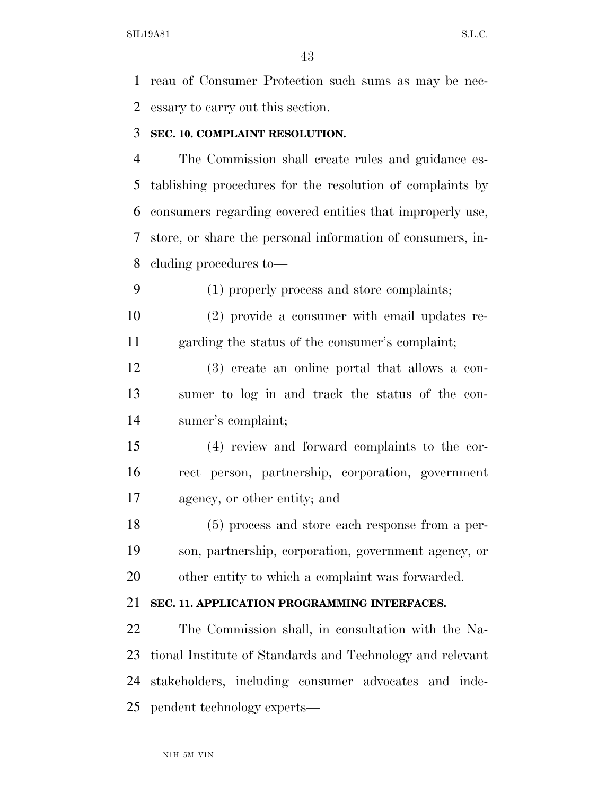reau of Consumer Protection such sums as may be nec-essary to carry out this section.

#### **SEC. 10. COMPLAINT RESOLUTION.**

 The Commission shall create rules and guidance es- tablishing procedures for the resolution of complaints by consumers regarding covered entities that improperly use, store, or share the personal information of consumers, in-cluding procedures to—

(1) properly process and store complaints;

 (2) provide a consumer with email updates re-garding the status of the consumer's complaint;

 (3) create an online portal that allows a con- sumer to log in and track the status of the con-sumer's complaint;

 (4) review and forward complaints to the cor- rect person, partnership, corporation, government agency, or other entity; and

 (5) process and store each response from a per- son, partnership, corporation, government agency, or other entity to which a complaint was forwarded.

### **SEC. 11. APPLICATION PROGRAMMING INTERFACES.**

 The Commission shall, in consultation with the Na- tional Institute of Standards and Technology and relevant stakeholders, including consumer advocates and inde-pendent technology experts—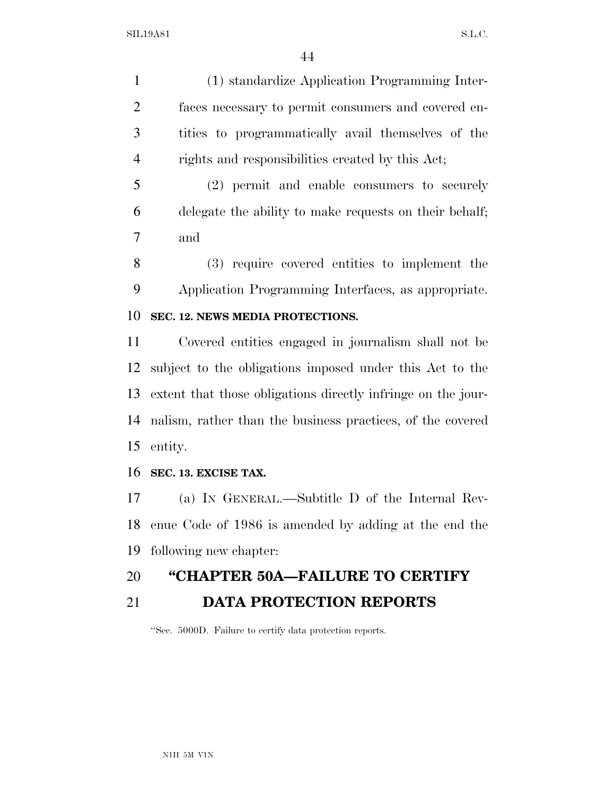(1) standardize Application Programming Inter- faces necessary to permit consumers and covered en- tities to programmatically avail themselves of the rights and responsibilities created by this Act;

 (2) permit and enable consumers to securely delegate the ability to make requests on their behalf; and

 (3) require covered entities to implement the Application Programming Interfaces, as appropriate. **SEC. 12. NEWS MEDIA PROTECTIONS.** 

 Covered entities engaged in journalism shall not be subject to the obligations imposed under this Act to the extent that those obligations directly infringe on the jour- nalism, rather than the business practices, of the covered entity.

### **SEC. 13. EXCISE TAX.**

 (a) IN GENERAL.—Subtitle D of the Internal Rev- enue Code of 1986 is amended by adding at the end the following new chapter:

### **''CHAPTER 50A—FAILURE TO CERTIFY**

## **DATA PROTECTION REPORTS**

''Sec. 5000D. Failure to certify data protection reports.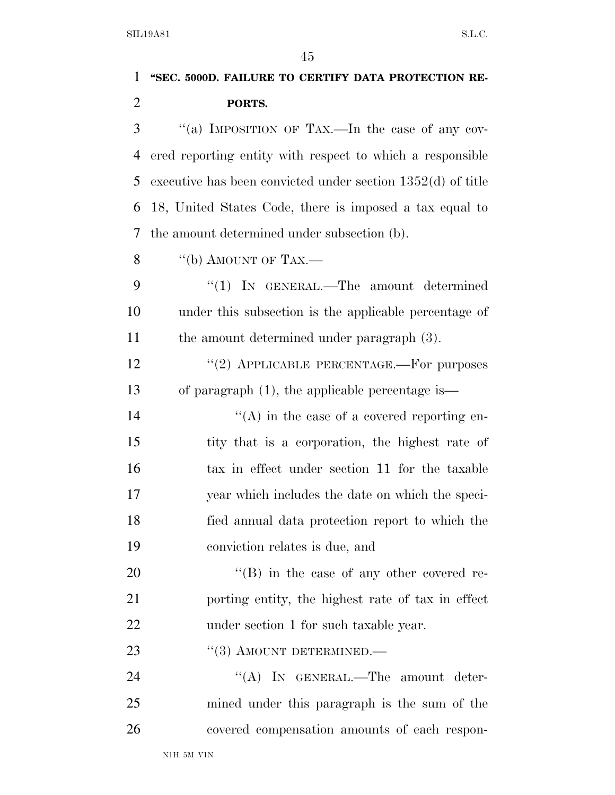# **''SEC. 5000D. FAILURE TO CERTIFY DATA PROTECTION RE- PORTS.**  ''(a) IMPOSITION OF TAX.—In the case of any cov- ered reporting entity with respect to which a responsible executive has been convicted under section 1352(d) of title 18, United States Code, there is imposed a tax equal to the amount determined under subsection (b). 8  $\qquad$  "(b) AMOUNT OF TAX.— ''(1) IN GENERAL.—The amount determined under this subsection is the applicable percentage of the amount determined under paragraph (3). 12 "(2) APPLICABLE PERCENTAGE.—For purposes of paragraph (1), the applicable percentage is— 14  $((A)$  in the case of a covered reporting en- tity that is a corporation, the highest rate of tax in effect under section 11 for the taxable year which includes the date on which the speci- fied annual data protection report to which the conviction relates is due, and 20  $\text{``(B)}$  in the case of any other covered re- porting entity, the highest rate of tax in effect 22 under section 1 for such taxable year. 23 "(3) AMOUNT DETERMINED.— 24 "(A) IN GENERAL.—The amount deter-

 mined under this paragraph is the sum of the covered compensation amounts of each respon-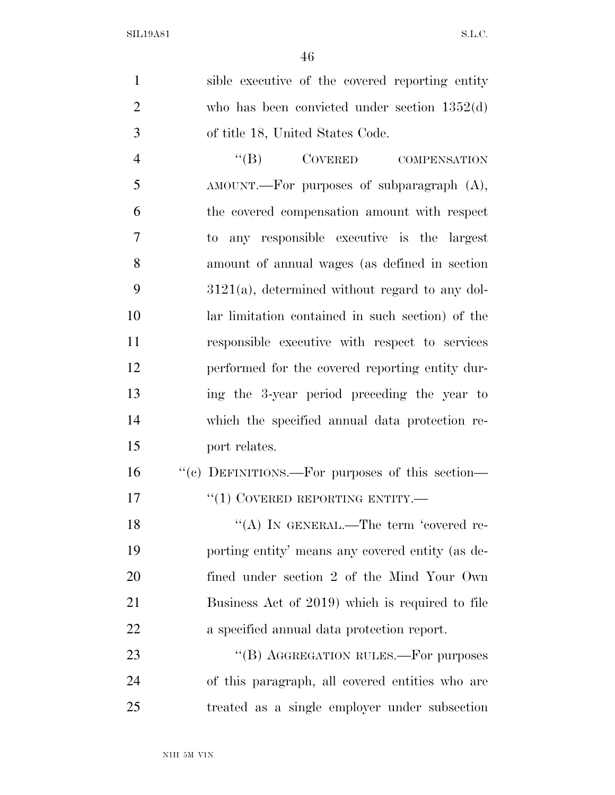sible executive of the covered reporting entity who has been convicted under section 1352(d) of title 18, United States Code.

4 "(B) COVERED COMPENSATION 5 AMOUNT.—For purposes of subparagraph  $(A)$ , the covered compensation amount with respect to any responsible executive is the largest amount of annual wages (as defined in section 3121(a), determined without regard to any dol- lar limitation contained in such section) of the responsible executive with respect to services performed for the covered reporting entity dur- ing the 3-year period preceding the year to which the specified annual data protection re-port relates.

| <b>16</b> | "(c) DEFINITIONS.—For purposes of this section— |
|-----------|-------------------------------------------------|
| 17        | $\lq(1)$ COVERED REPORTING ENTITY.—             |

18 "(A) IN GENERAL.—The term 'covered re- porting entity' means any covered entity (as de- fined under section 2 of the Mind Your Own Business Act of 2019) which is required to file a specified annual data protection report.

23 "(B) AGGREGATION RULES.—For purposes of this paragraph, all covered entities who are treated as a single employer under subsection